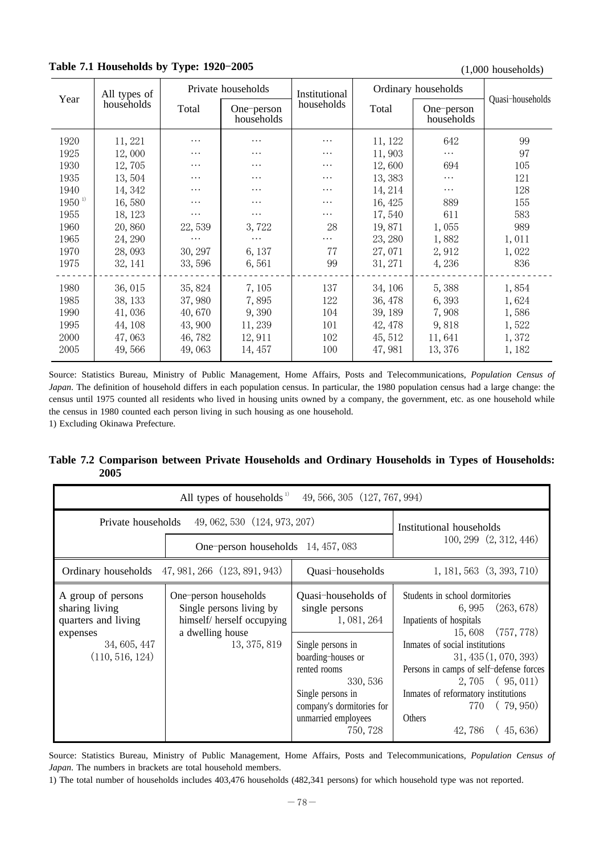**Table 7.1 Households by Type: 1920-2005** (1,000 households) (1,000 households)

|             | All types of | Private households |                          | Institutional | Ordinary households |                          |                  |
|-------------|--------------|--------------------|--------------------------|---------------|---------------------|--------------------------|------------------|
| Year        | households   | Total              | One-person<br>households | households    | Total               | One-person<br>households | Quasi-households |
| 1920        | 11, 221      | .                  | .                        | .             | 11, 122             | 642                      | 99               |
| 1925        | 12,000       | .                  | $\cdots$                 | $\cdots$      | 11,903              | $\cdots$                 | 97               |
| 1930        | 12,705       | $\cdots$           | .                        | .             | 12,600              | 694                      | 105              |
| 1935        | 13,504       | $\cdots$           | .                        | .             | 13,383              | $\cdots$                 | 121              |
| 1940        | 14, 342      | .                  | .                        | .             | 14, 214             | $\cdots$                 | 128              |
| $1950^{11}$ | 16,580       | .                  | .                        | .             | 16, 425             | 889                      | 155              |
| 1955        | 18, 123      | $\cdots$           | $\cdots$                 | .             | 17,540              | 611                      | 583              |
| 1960        | 20,860       | 22,539             | 3,722                    | 28            | 19,871              | 1,055                    | 989              |
| 1965        | 24, 290      | $\cdots$           | $\cdots$                 | $\cdots$      | 23, 280             | 1,882                    | 1,011            |
| 1970        | 28,093       | 30, 297            | 6, 137                   | 77            | 27,071              | 2,912                    | 1,022            |
| 1975        | 32, 141      | 33,596             | 6,561                    | 99            | 31, 271             | 4,236                    | 836              |
| 1980        | 36,015       | 35, 824            | 7,105                    | 137           | 34, 106             | 5,388                    | 1,854            |
| 1985        | 38, 133      | 37,980             | 7,895                    | 122           | 36, 478             | 6,393                    | 1,624            |
| 1990        | 41,036       | 40,670             | 9,390                    | 104           | 39, 189             | 7,908                    | 1,586            |
| 1995        | 44, 108      | 43,900             | 11, 239                  | 101           | 42, 478             | 9,818                    | 1,522            |
| 2000        | 47,063       | 46,782             | 12, 911                  | 102           | 45, 512             | 11,641                   | 1,372            |
| 2005        | 49,566       | 49,063             | 14, 457                  | 100           | 47,981              | 13, 376                  | 1, 182           |
|             |              |                    |                          |               |                     |                          |                  |

Source: Statistics Bureau, Ministry of Public Management, Home Affairs, Posts and Telecommunications, *Population Census of Japan*. The definition of household differs in each population census. In particular, the 1980 population census had a large change: the census until 1975 counted all residents who lived in housing units owned by a company, the government, etc. as one household while the census in 1980 counted each person living in such housing as one household.

1) Excluding Okinawa Prefecture.

#### **Table 7.2 Comparison between Private Households and Ordinary Households in Types of Households: 2005**

| 49, 566, 305 (127, 767, 994)<br>All types of households <sup>1)</sup>                                      |                                                                                                                     |                                                                                                                                                                                                                  |                                                                                                                                                                                                                                                                                                                 |  |  |  |  |  |
|------------------------------------------------------------------------------------------------------------|---------------------------------------------------------------------------------------------------------------------|------------------------------------------------------------------------------------------------------------------------------------------------------------------------------------------------------------------|-----------------------------------------------------------------------------------------------------------------------------------------------------------------------------------------------------------------------------------------------------------------------------------------------------------------|--|--|--|--|--|
|                                                                                                            | Private households 49, 062, 530 (124, 973, 207)                                                                     |                                                                                                                                                                                                                  | Institutional households                                                                                                                                                                                                                                                                                        |  |  |  |  |  |
|                                                                                                            | One-person households 14, 457, 083                                                                                  |                                                                                                                                                                                                                  | 100, 299 (2, 312, 446)                                                                                                                                                                                                                                                                                          |  |  |  |  |  |
|                                                                                                            | Ordinary households 47, 981, 266 (123, 891, 943)                                                                    | Quasi-households                                                                                                                                                                                                 | $1, 181, 563$ $(3, 393, 710)$                                                                                                                                                                                                                                                                                   |  |  |  |  |  |
| A group of persons<br>sharing living<br>quarters and living<br>expenses<br>34, 605, 447<br>(110, 516, 124) | One-person households<br>Single persons living by<br>himself/ herself occupying<br>a dwelling house<br>13, 375, 819 | Quasi-households of<br>single persons<br>1, 081, 264<br>Single persons in<br>boarding-houses or<br>rented rooms<br>330, 536<br>Single persons in<br>company's dormitories for<br>unmarried employees<br>750, 728 | Students in school dormitories<br>6,995 (263,678)<br>Inpatients of hospitals<br>15,608 (757,778)<br>Inmates of social institutions<br>31,435(1,070,393)<br>Persons in camps of self-defense forces<br>$2,705$ (95,011)<br>Inmates of reformatory institutions<br>770 (79,950)<br>Others<br>(45, 636)<br>42, 786 |  |  |  |  |  |

Source: Statistics Bureau, Ministry of Public Management, Home Affairs, Posts and Telecommunications, *Population Census of Japan*. The numbers in brackets are total household members.

1) The total number of households includes 403,476 households (482,341 persons) for which household type was not reported.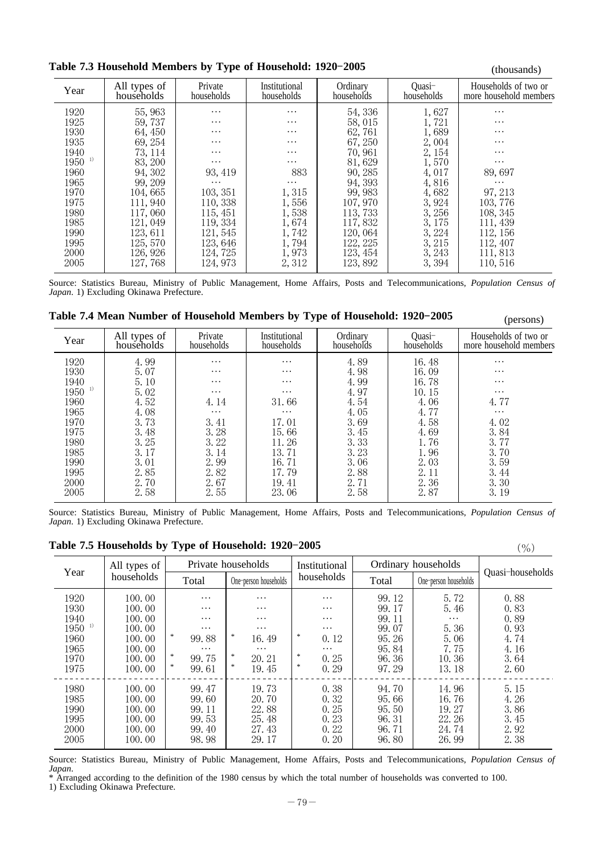**Table 7.3 Household Members by Type of Household: 1920-2005** (thousands) (thousands)

|                      |                            | ັ                     |                             |                        |                      | (uluusalius)                                   |
|----------------------|----------------------------|-----------------------|-----------------------------|------------------------|----------------------|------------------------------------------------|
| Year                 | All types of<br>households | Private<br>households | Institutional<br>households | Ordinary<br>households | Ouasi-<br>households | Households of two or<br>more household members |
| 1920                 | 55, 963                    | .                     | $\cdots$                    | 54, 336                | 1,627                | $\cdots$                                       |
| 1925                 | 59, 737                    | .                     | $\cdots$                    | 58,015                 | 1,721                | $\cdots$                                       |
| 1930                 | 64, 450                    | .                     | $\cdots$                    | 62,761                 | 1,689                | $\cdots$                                       |
| 1935                 | 69, 254                    | .                     | $\cdots$                    | 67, 250                | 2,004                | $\cdots$                                       |
| 1940                 | 73, 114                    | .                     | $\cdots$                    | 70,961                 | 2, 154               | $\cdots$                                       |
| $1950$ <sup>1)</sup> | 83, 200                    | $\cdots$              | $\cdots$                    | 81,629                 | 1,570                | $\cdots$                                       |
| 1960                 | 94, 302                    | 93, 419               | 883                         | 90, 285                | 4,017                | 89,697                                         |
| 1965                 | 99.209                     | $\cdots$              | $\cdots$                    | 94.393                 | 4,816                | $\cdots$                                       |
| 1970                 | 104,665                    | 103, 351              | 1,315                       | 99, 983                | 4,682                | 97, 213                                        |
| 1975                 | 111,940                    | 110, 338              | 1,556                       | 107, 970               | 3,924                | 103, 776                                       |
| 1980                 | 117,060                    | 115, 451              | 1,538                       | 113, 733               | 3, 256               | 108, 345                                       |
| 1985                 | 121, 049                   | 119, 334              | 1,674                       | 117,832                | 3,175                | 111, 439                                       |
| 1990                 | 123, 611                   | 121, 545              | 1,742                       | 120, 064               | 3, 224               | 112, 156                                       |
| 1995                 | 125, 570                   | 123,646               | 1,794                       | 122, 225               | 3, 215               | 112, 407                                       |
| 2000                 | 126, 926                   | 124, 725              | 1,973                       | 123, 454               | 3, 243               | 111,813                                        |
| 2005                 | 127,768                    | 124, 973              | 2,312                       | 123,892                | 3,394                | 110,516                                        |
|                      |                            |                       |                             |                        |                      |                                                |

Source: Statistics Bureau, Ministry of Public Management, Home Affairs, Posts and Telecommunications, *Population Census of Japan*. 1) Excluding Okinawa Prefecture.

| Table 7.4 Mean Number of Household Members by Type of Household: 1920-2005 | (persons) |
|----------------------------------------------------------------------------|-----------|
|----------------------------------------------------------------------------|-----------|

|                      |                            |                       |                             |                        |                      | V                                              |
|----------------------|----------------------------|-----------------------|-----------------------------|------------------------|----------------------|------------------------------------------------|
| Year                 | All types of<br>households | Private<br>households | Institutional<br>households | Ordinary<br>households | Quasi-<br>households | Households of two or<br>more household members |
| 1920                 | 4.99                       | $\cdots$              | $\cdots$                    | 4.89                   | 16.48                | $\cdots$                                       |
| 1930                 | 5.07                       | $\cdots$              | $\cdots$                    | 4.98                   | 16.09                | $\cdots$                                       |
| 1940                 | 5.10                       | $\cdots$              | $\cdots$                    | 4.99                   | 16.78                | $\cdots$                                       |
| $1950$ <sup>1)</sup> | 5.02                       | $\cdots$              | $\cdots$                    | 4.97                   | 10.15                | $\cdots$                                       |
| 1960                 | 4.52                       | 4.14                  | 31.66                       | 4.54                   | 4.06                 | 4.77                                           |
| 1965                 | 4.08                       | $\cdots$              | $\cdots$                    | 4.05                   | 4.77                 | $\cdots$                                       |
| 1970                 | 3.73                       | 3.41                  | 17.01                       | 3.69                   | 4.58                 | 4.02                                           |
| 1975                 | 3.48                       | 3.28                  | 15.66                       | 3.45                   | 4.69                 | 3.84                                           |
| 1980                 | 3.25                       | 3.22                  | 11.26                       | 3.33                   | 1.76                 | 3.77                                           |
| 1985                 | 3.17                       | 3.14                  | 13.71                       | 3.23                   | 1.96                 | 3.70                                           |
| 1990                 | 3.01                       | 2.99                  | 16.71                       | 3.06                   | 2.03                 | 3.59                                           |
| 1995                 | 2.85                       | 2.82                  | 17.79                       | 2.88                   | 2.11                 | 3.44                                           |
| 2000                 | 2.70                       | 2.67                  | 19.41                       | 2.71                   | 2.36                 | 3.30                                           |
| 2005                 | 2.58                       | 2.55                  | 23.06                       | 2.58                   | 2.87                 | 3.19                                           |
|                      |                            |                       |                             |                        |                      |                                                |

Source: Statistics Bureau, Ministry of Public Management, Home Affairs, Posts and Telecommunications, *Population Census of Japan*. 1) Excluding Okinawa Prefecture.

| Year                                                                         | All types of                                                                 |                                                                                                         | Private households                                                                                      | Institutional                                                                                        | Ordinary households                                                  | Quasi-households                                                   |                                                              |
|------------------------------------------------------------------------------|------------------------------------------------------------------------------|---------------------------------------------------------------------------------------------------------|---------------------------------------------------------------------------------------------------------|------------------------------------------------------------------------------------------------------|----------------------------------------------------------------------|--------------------------------------------------------------------|--------------------------------------------------------------|
|                                                                              | households                                                                   | Total                                                                                                   | One-person households                                                                                   | households                                                                                           | Total                                                                | One-person households                                              |                                                              |
| 1920<br>1930<br>1940<br>$1950$ <sup>1)</sup><br>1960<br>1965<br>1970<br>1975 | 100.00<br>100.00<br>100.00<br>100.00<br>100.00<br>100.00<br>100.00<br>100.00 | $\cdots$<br>$\cdots$<br>$\cdots$<br>$\cdots$<br>$\ast$<br>99.88<br>$\cdots$<br>$\ast$<br>99.75<br>99.61 | $\cdots$<br>$\cdots$<br>$\cdots$<br>$\cdots$<br>*<br>16.49<br>$\cdots$<br>*<br>20.21<br>$\ast$<br>19.45 | $\cdots$<br>$\cdots$<br>$\cdots$<br>$\cdots$<br>冰<br>0.12<br>$\cdots$<br>法<br>0.25<br>$\ast$<br>0.29 | 99.12<br>99.17<br>99.11<br>99.07<br>95.26<br>95.84<br>96.36<br>97.29 | 5.72<br>5.46<br>$\cdots$<br>5.36<br>5.06<br>7.75<br>10.36<br>13.18 | 0.88<br>0.83<br>0.89<br>0.93<br>4.74<br>4.16<br>3.64<br>2.60 |
| 1980<br>1985<br>1990<br>1995<br>2000<br>2005                                 | 100.00<br>100.00<br>100.00<br>100.00<br>100.00<br>100.00                     | 99.47<br>99.60<br>99.11<br>99.53<br>99.40<br>98.98                                                      | 19.73<br>20.70<br>22.88<br>25.48<br>27.43<br>29.17                                                      | 0.38<br>0.32<br>0.25<br>0.23<br>0.22<br>0.20                                                         | 94.70<br>95.66<br>95.50<br>96.31<br>96.71<br>96.80                   | 14.96<br>16.76<br>19.27<br>22.26<br>24.74<br>26.99                 | 5.15<br>4.26<br>3.86<br>3.45<br>2.92<br>2.38                 |

Source: Statistics Bureau, Ministry of Public Management, Home Affairs, Posts and Telecommunications, *Population Census of Japan*.

\* Arranged according to the definition of the 1980 census by which the total number of households was converted to 100. 1) Excluding Okinawa Prefecture.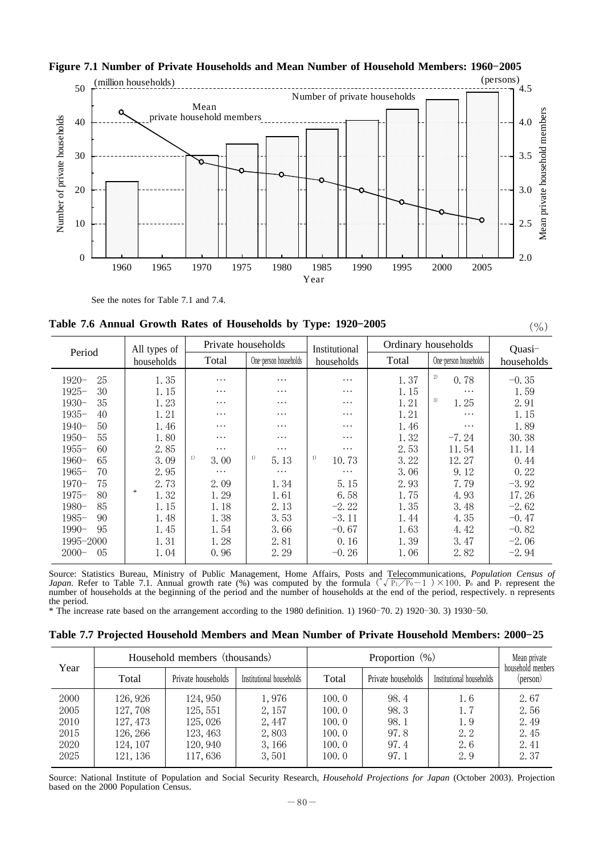

### Figure 7.1 Number of Private Households and Mean Number of Household Members: 1960-2005

See the notes for Table 7.1 and 7.4.

**Table 7.6 Annual Growth Rates of Households by Type: 1920-2005** (%)

| Period         | All types of | Private households |                       | Institutional | Ordinary households | Quasi-                |            |
|----------------|--------------|--------------------|-----------------------|---------------|---------------------|-----------------------|------------|
|                | households   | Total              | One-person households | households    | Total               | One-person households | households |
| 25<br>$1920 -$ | 1.35         | .                  | .                     | $\cdots$      | 1.37                | 2)<br>0.78            | $-0.35$    |
| 30<br>$1925 -$ | 1.15         | $\cdots$           | .                     | $\cdots$      | 1.15                | $\cdots$              | 1.59       |
| 35<br>$1930-$  | 1.23         | $\cdots$           | .                     | $\cdots$      | 1.21                | 3)<br>1.25            | 2.91       |
| $1935 -$<br>40 | 1.21         | $\cdots$           | .                     | .             | 1.21                | $\cdots$              | 1.15       |
| 50<br>$1940-$  | 1.46         | .                  | .                     | $\cdots$      | 1.46                | $\cdots$              | 1.89       |
| 55<br>$1950-$  | 1.80         | .                  | .                     | .             | 1.32                | $-7.24$               | 30.38      |
| 60<br>$1955 -$ | 2.85         | $\ddots$           | .                     | .             | 2.53                | 11.54                 | 11.14      |
| 65<br>$1960-$  | 3.09         | $_{1}$<br>3.00     | 1)<br>5.13            | 1)<br>10.73   | 3.22                | 12.27                 | 0.44       |
| $1965-$<br>70  | 2.95         | $\cdots$           | $\cdots$              | $\cdots$      | 3.06                | 9.12                  | 0.22       |
| 75<br>$1970-$  | 2.73         | 2.09               | 1.34                  | 5.15          | 2.93                | 7.79                  | $-3.92$    |
| $1975-$<br>80  | *<br>1.32    | 1.29               | 1.61                  | 6.58          | 1.75                | 4.93                  | 17.26      |
| 85<br>$1980-$  | 1.15         | 1.18               | 2.13                  | $-2.22$       | 1.35                | 3.48                  | $-2.62$    |
| $1985-$<br>90  | 1.48         | 1.38               | 3.53                  | $-3.11$       | 1.44                | 4.35                  | $-0.47$    |
| 95<br>$1990-$  | 1.45         | 1.54               | 3.66                  | $-0.67$       | 1.63                | 4.42                  | $-0.82$    |
| 1995-2000      | 1.31         | 1.28               | 2.81                  | 0.16          | 1.39                | 3.47                  | $-2.06$    |
| 05<br>$2000 -$ | 1.04         | 0.96               | 2.29                  | $-0.26$       | 1.06                | 2.82                  | $-2.94$    |

Source: Statistics Bureau, Ministry of Public Management, Home Affairs, Posts and Telecommunications, *Population Census of*<br>*Japan.* Refer to Table 7.1. Annual growth rate (%) was computed by the formula  $(\sqrt[p]{P_1/P_0} - 1)$ number of households at the beginning of the period and the number of households at the end of the period, respectively. n represents the period.

 $*$  The increase rate based on the arrangement according to the 1980 definition. 1) 1960–70. 2) 1920–30. 3) 1930–50.

|      |          | Household members (thousands) |                          |       | Mean private<br>household menbers |                          |          |
|------|----------|-------------------------------|--------------------------|-------|-----------------------------------|--------------------------|----------|
| Year | Total    | Private households            | Institutional households | Total | Private households                | Institutional households | (person) |
| 2000 | 126, 926 | 124, 950                      | 1,976                    | 100.0 | 98.4                              | 1.6                      | 2.67     |
| 2005 | 127, 708 | 125, 551                      | 2, 157                   | 100.0 | 98.3                              | 1.7                      | 2.56     |
| 2010 | 127, 473 | 125,026                       | 2, 447                   | 100.0 | 98.1                              | 1.9                      | 2.49     |
| 2015 | 126, 266 | 123, 463                      | 2,803                    | 100.0 | 97.8                              | 2.2                      | 2.45     |
| 2020 | 124, 107 | 120, 940                      | 3, 166                   | 100.0 | 97.4                              | 2.6                      | 2.41     |
| 2025 | 121, 136 | 117,636                       | 3,501                    | 100.0 | 97.1                              | 2.9                      | 2.37     |

Source: National Institute of Population and Social Security Research, *Household Projections for Japan* (October 2003). Projection based on the 2000 Population Census.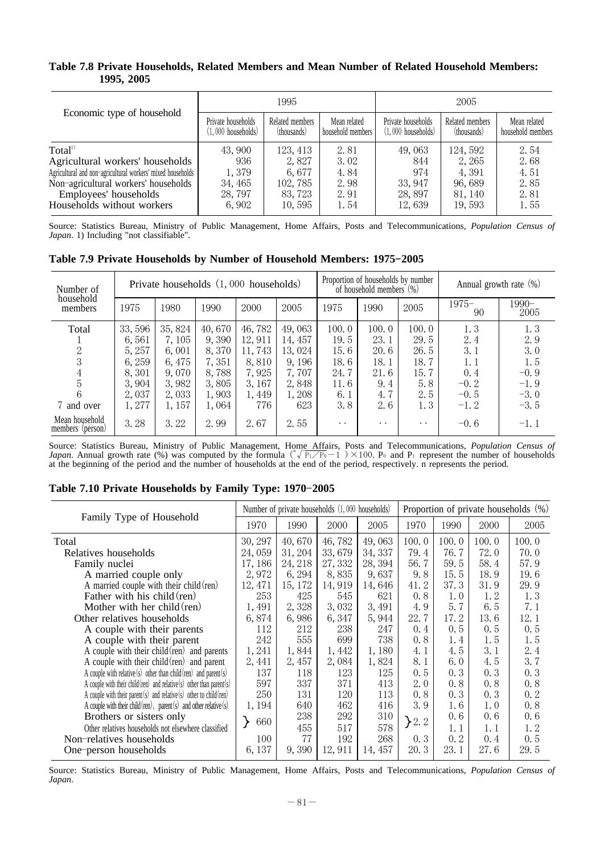#### **Table 7.8 Private Households, Related Members and Mean Number of Related Household Members: 1995, 2005**

|                                                             |                      | 1995            |                   | 2005                 |                 |                   |  |
|-------------------------------------------------------------|----------------------|-----------------|-------------------|----------------------|-----------------|-------------------|--|
| Economic type of household                                  | Private households   | Related members | Mean related      | Private households   | Related members | Mean related      |  |
|                                                             | $(1,000$ households) | (thousands)     | household members | $(1,000$ households) | (thousands)     | household members |  |
| Total <sup>1)</sup>                                         | 43,900               | 123, 413        | 2.81              | 49,063               | 124, 592        | 2.54              |  |
| Agricultural workers' households                            | 936                  | 2,827           | 3.02              | 844                  | 2, 265          | 2.68              |  |
| Agricultural and non-agricultural workers' mixed households | 1,379                | 6,677           | 4.84              | 974                  | 4, 391          | 4.51              |  |
| Non-agricultural workers' households                        | 34, 465              | 102, 785        | 2.98              | 33, 947              | 96,689          | 2.85              |  |
| Employees' households                                       | 28, 797              | 83, 723         | 2.91              | 28,897               | 81, 140         | 2.81              |  |
| Households without workers                                  | 6,902                | 10,595          | 1.54              | 12,639               | 19, 593         | 1.55              |  |

Source: Statistics Bureau, Ministry of Public Management, Home Affairs, Posts and Telecommunications, *Population Census of Japan*. 1) Including "not classifiable".

| Number of<br>household             |        | Private households $(1,000$ households) |        |        |         |                      | Proportion of households by number<br>of household members $(\%)$ |                      | Annual growth rate $(\%)$ |               |
|------------------------------------|--------|-----------------------------------------|--------|--------|---------|----------------------|-------------------------------------------------------------------|----------------------|---------------------------|---------------|
| members                            | 1975   | 1980                                    | 1990   | 2000   | 2005    | 1975                 | 1990                                                              | 2005                 | $1975-$<br>90             | 1990-<br>2005 |
| Total                              | 33,596 | 35, 824                                 | 40,670 | 46,782 | 49,063  | 100.0                | 100.0                                                             | 100.0                | 1.3                       | 1.3           |
|                                    | 6,561  | 7, 105                                  | 9,390  | 12,911 | 14, 457 | 19.5                 | 23.1                                                              | 29.5                 | 2.4                       | 2.9           |
| 2                                  | 5, 257 | 6.001                                   | 8.370  | 11,743 | 13,024  | 15.6                 | 20.6                                                              | 26.5                 | 3.1                       | 3.0           |
| 3                                  | 6, 259 | 6, 475                                  | 7,351  | 8,810  | 9, 196  | 18.6                 | 18.1                                                              | 18.7                 | 1. 1                      | 1.5           |
| 4                                  | 8.301  | 9.070                                   | 8,788  | 7,925  | 7,707   | 24.7                 | 21.6                                                              | 15.7                 | 0.4                       | $-0.9$        |
| 5                                  | 3,904  | 3,982                                   | 3,805  | 3, 167 | 2,848   | 11.6                 | 9.4                                                               | 5.8                  | $-0.2$                    | $-1.9$        |
| 6                                  | 2,037  | 2,033                                   | 1,903  | 1,449  | 1,208   | 6.1                  | 4.7                                                               | 2.5                  | $-0.5$                    | $-3.0$        |
| 7 and over                         | 1,277  | 1,157                                   | 1,064  | 776    | 623     | 3.8                  | 2.6                                                               | 1.3                  | $-1.2$                    | $-3.5$        |
| Mean household<br>members (person) | 3.28   | 3.22                                    | 2.99   | 2.67   | 2.55    | $\ddot{\phantom{0}}$ | $\cdot$ $\cdot$                                                   | $\ddot{\phantom{0}}$ | $-0.6$                    | $-1.1$        |

Source: Statistics Bureau, Ministry of Public Management, Home Affairs, Posts and Telecommunications, *Population Census of*<br>*Japan.* Annual growth rate (%) was computed by the formula  $(\sqrt[p]{P_1/P_0} - 1) \times 100$ . P<sub>0</sub> and P<sub></sub> at the beginning of the period and the number of households at the end of the period, respectively. n represents the period.

|                                                                            |                                   |         | Number of private households (1,000 households) |         |       |       |       | Proportion of private households (%) |
|----------------------------------------------------------------------------|-----------------------------------|---------|-------------------------------------------------|---------|-------|-------|-------|--------------------------------------|
| Family Type of Household                                                   | 1970                              | 1990    | 2000                                            | 2005    | 1970  | 1990  | 2000  | 2005                                 |
| Total                                                                      | 30, 297                           | 40,670  | 46,782                                          | 49,063  | 100.0 | 100.0 | 100.0 | 100.0                                |
| Relatives households                                                       | 24,059                            | 31, 204 | 33,679                                          | 34, 337 | 79.4  | 76.7  | 72.0  | 70.0                                 |
| Family nuclei                                                              | 17, 186                           | 24, 218 | 27, 332                                         | 28, 394 | 56.7  | 59.5  | 58.4  | 57.9                                 |
| A married couple only                                                      | 2,972                             | 6, 294  | 8,835                                           | 9,637   | 9.8   | 15.5  | 18.9  | 19.6                                 |
| A married couple with their child $(ren)$                                  | 12, 471                           | 15, 172 | 14,919                                          | 14,646  | 41.2  | 37.3  | 31.9  | 29.9                                 |
| Father with his child (ren)                                                | 253                               | 425     | 545                                             | 621     | 0.8   | 1.0   | 1.2   | 1.3                                  |
| Mother with her child $(ren)$                                              | 1,491                             | 2,328   | 3,032                                           | 3, 491  | 4.9   | 5.7   | 6.5   | 7.1                                  |
| Other relatives households                                                 | 6,874                             | 6,986   | 6,347                                           | 5,944   | 22.7  | 17.2  | 13.6  | 12.1                                 |
| A couple with their parents                                                | 112                               | 212     | 238                                             | 247     | 0.4   | 0.5   | 0.5   | 0.5                                  |
| A couple with their parent                                                 | 242                               | 555     | 699                                             | 738     | 0.8   | 1.4   | 1.5   | 1.5                                  |
| A couple with their child $(ren)$ and parents                              | 1, 241                            | 1,844   | 1,442                                           | 1,180   | 4.1   | 4.5   | 3.1   | 2.4                                  |
| A couple with their child $(ren)$ and parent                               | 2, 441                            | 2,457   | 2,084                                           | 1,824   | 8.1   | 6.0   | 4.5   | 3, 7                                 |
| A couple with relative (s) other than child (ren) and parent (s)           | 137                               | 118     | 123                                             | 125     | 0.5   | 0.3   | 0.3   | 0.3                                  |
| A couple with their child (ren) and relative $(s)$ other than parent $(s)$ | 597                               | 337     | 371                                             | 413     | 2.0   | 0.8   | 0.8   | 0.8                                  |
| A couple with their parent (s) and relative (s) other to child (ren)       | 250                               | 131     | 120                                             | 113     | 0.8   | 0.3   | 0.3   | 0.2                                  |
| A couple with their child (ren), parent (s) and other relative (s)         | 1, 194                            | 640     | 462                                             | 416     | 3.9   | 1.6   | 1.0   | 0.8                                  |
| Brothers or sisters only                                                   | $\left\vert \right\rangle$<br>660 | 238     | 292                                             | 310     | 2.2   | 0.6   | 0, 6  | 0, 6                                 |
| Other relatives households not elsewhere classified                        |                                   | 455     | 517                                             | 578     |       | 1. 1  | 1.1   | 1.2                                  |
| Non-relatives households                                                   | 100                               | 77      | 192                                             | 268     | 0.3   | 0.2   | 0.4   | 0.5                                  |
| One-person households                                                      | 6, 137                            | 9,390   | 12,911                                          | 14, 457 | 20.3  | 23.1  | 27.6  | 29.5                                 |

#### Table 7.10 Private Households by Family Type: 1970-2005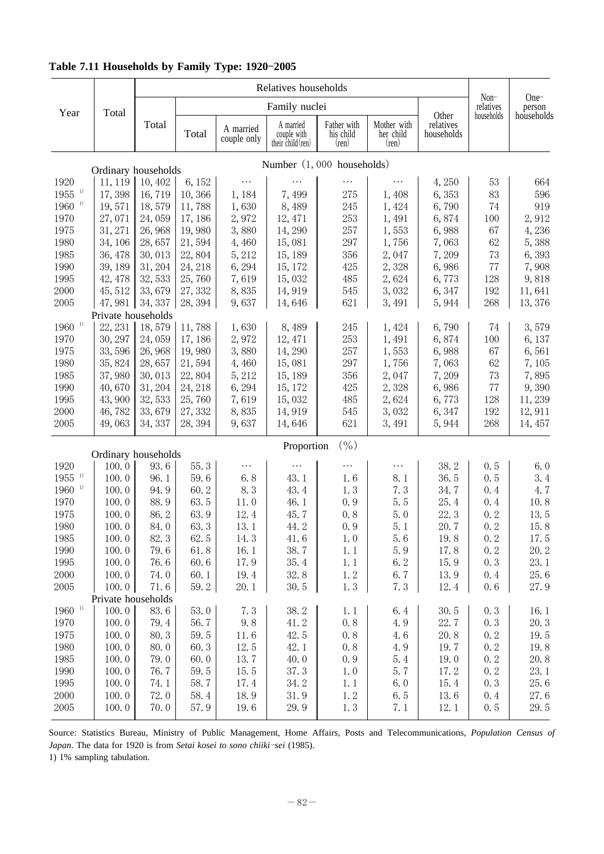| Year                             | Total                          |              |         |                          | Family nuclei                                 |                                            |                                            |                                  | $Non-$<br>relatives | One-<br>person       |
|----------------------------------|--------------------------------|--------------|---------|--------------------------|-----------------------------------------------|--------------------------------------------|--------------------------------------------|----------------------------------|---------------------|----------------------|
|                                  |                                | Total        | Total   | A married<br>couple only | A married<br>couple with<br>their child (ren) | Father with<br>his child<br>$(\text{ren})$ | Mother with<br>her child<br>$(\text{ren})$ | Other<br>relatives<br>households | households          | households           |
|                                  |                                |              |         |                          | Number $(1, 000$ households)                  |                                            |                                            |                                  |                     |                      |
| 1920                             | Ordinary households<br>11, 119 | 10,402       | 6, 152  | .                        |                                               | $\cdots$                                   |                                            | 4,250                            | 53                  | 664                  |
| $1955$ <sup>1)</sup>             | 17,398                         | 16,719       | 10,366  | 1,184                    | 7,499                                         | 275                                        | 1,408                                      | 6,353                            | 83                  | 596                  |
| $1960$ <sup>1)</sup>             | 19,571                         | 18,579       | 11,788  | 1,630                    | 8,489                                         | 245                                        | 1,424                                      | 6,790                            | 74                  | 919                  |
| 1970                             | 27,071                         | 24,059       | 17, 186 | 2,972                    | 12, 471                                       | 253                                        | 1,491                                      | 6,874                            | 100                 | 2,912                |
| 1975                             | 31, 271                        | 26,968       | 19,980  | 3,880                    | 14, 290                                       | 257                                        | 1,553                                      | 6,988                            | 67                  | 4,236                |
| 1980                             | 34, 106                        | 28,657       | 21,594  | 4,460                    | 15,081                                        | 297                                        | 1,756                                      | 7,063                            | 62                  | 5,388                |
| 1985                             | 36, 478                        | 30,013       | 22,804  | 5, 212                   | 15, 189                                       | 356                                        | 2,047                                      | 7,209                            | 73                  | 6,393                |
| 1990                             | 39, 189                        | 31, 204      | 24, 218 | 6, 294                   | 15, 172                                       | 425                                        | 2,328                                      | 6,986                            | 77                  | 7,908                |
| 1995                             | 42, 478                        | 32, 533      | 25,760  | 7,619                    | 15,032                                        | 485                                        | 2,624                                      | 6,773                            | 128                 | 9,818                |
| 2000                             | 45, 512                        | 33,679       | 27,332  | 8,835                    | 14,919                                        | 545                                        | 3,032                                      | 6,347                            | 192                 | 11,641               |
| 2005                             | 47,981                         | 34, 337      | 28, 394 | 9,637                    | 14,646                                        | 621                                        | 3,491                                      | 5,944                            | 268                 | 13,376               |
|                                  | Private households             |              |         |                          |                                               |                                            |                                            |                                  |                     |                      |
| $1960$ <sup>1)</sup>             | 22, 231                        | 18,579       | 11,788  | 1,630                    | 8,489                                         | 245                                        | 1,424                                      | 6,790                            | 74                  | 3,579                |
| 1970                             | 30, 297                        | 24,059       | 17, 186 | 2,972                    | 12, 471                                       | 253                                        | 1,491                                      | 6,874                            | 100                 | 6, 137               |
| 1975                             | 33,596                         | 26,968       | 19,980  | 3,880                    | 14, 290                                       | 257                                        | 1,553                                      | 6,988                            | 67                  | 6,561                |
| 1980                             | 35,824                         | 28,657       | 21,594  | 4,460                    | 15,081                                        | 297                                        | 1,756                                      | 7,063                            | 62                  | 7,105                |
| 1985                             | 37,980                         | 30,013       | 22,804  | 5, 212                   | 15, 189                                       | 356                                        | 2,047                                      | 7,209                            | 73                  | 7,895                |
| 1990                             | 40,670                         | 31, 204      | 24, 218 | 6, 294                   | 15, 172                                       | 425                                        | 2,328                                      | 6,986                            | 77                  | 9,390                |
| 1995                             | 43,900                         | 32, 533      | 25,760  | 7,619                    | 15,032                                        | 485                                        | 2,624                                      | 6,773                            | 128                 | 11,239               |
| 2000                             | 46,782                         | 33,679       | 27,332  | 8,835                    | 14, 919                                       | 545                                        | 3,032                                      | 6,347                            | 192                 | 12,911               |
| 2005                             | 49,063                         | 34, 337      | 28, 394 | 9,637                    | 14,646                                        | 621                                        | 3,491                                      | 5,944                            | 268                 | 14, 457              |
|                                  |                                |              |         |                          | Proportion                                    | $($ %)                                     |                                            |                                  |                     |                      |
|                                  | Ordinary households            |              | 55.3    | .                        | .                                             | .                                          | $\cdots$                                   |                                  |                     |                      |
| 1920<br>$1955$ <sup>1)</sup>     | 100.0<br>100.0                 | 93.6<br>96.1 | 59.6    | 6.8                      | 43.1                                          | 1.6                                        | 8.1                                        | 38.2<br>36.5                     | 0.5<br>0.5          | 6.0<br>3.4           |
| $1960$ <sup>1)</sup>             | 100.0                          | 94.9         | 60.2    | 8.3                      | 43.4                                          | 1.3                                        | 7.3                                        | 34.7                             | 0.4                 | 4.7                  |
| 1970                             | 100.0                          | 88.9         | 63.5    | 11.0                     | 46.1                                          | 0.9                                        | 5.5                                        | 25.4                             | 0.4                 | 10.8                 |
| 1975                             | 100.0                          | 86.2         | 63.9    | 12.4                     | 45.7                                          | 0.8                                        | 5.0                                        | 22.3                             | 0.2                 | 13.5                 |
| 1980                             | 100.0                          | 84.0         | 63.3    | 13.1                     | 44.2                                          | 0.9                                        | 5.1                                        | 20.7                             | 0.2                 | 15.8                 |
| 1985                             | 100.0                          | 82.3         | 62.5    | 14.3                     | 41.6                                          | 1.0                                        | 5.6                                        | 19.8                             | 0.2                 | 17.5                 |
| 1990                             | 100.0                          | 79.6         | 61.8    | 16.1                     | 38.7                                          | 1.1                                        | 5.9                                        | 17.8                             | 0, 2                | 20.2                 |
| 1995                             | 100.0                          | 76.6         | 60.6    | 17.9                     | 35.4                                          | 1.1                                        | 6.2                                        | 15.9                             | 0.3                 | 23.1                 |
| 2000                             | 100.0                          | 74.0         | 60.1    | 19.4                     | 32.8                                          | 1.2                                        | 6.7                                        | 13.9                             | 0.4                 | 25.6                 |
| 2005                             | 100.0                          | 71.6         | 59.2    | 20.1                     | 30.5                                          | 1.3                                        | 7.3                                        | 12.4                             | 0.6                 | 27.9                 |
|                                  | Private households             |              |         |                          |                                               |                                            |                                            |                                  |                     |                      |
| $1960\,$ $^{\textrm{\tiny{1}})}$ | 100.0                          | 83.6         | 53.0    | 7.3                      | 38.2                                          | 1.1                                        | 6.4                                        | 30.5                             | 0, 3                | 16.1                 |
| 1970                             | 100.0                          | 79.4         | 56.7    | 9.8                      | 41.2                                          | 0.8                                        | 4.9                                        | 22.7                             | 0, 3                | 20.3                 |
| 1975                             | 100.0                          | 80.3         | 59.5    | 11.6                     | 42.5                                          | 0, 8                                       | 4.6                                        | 20.8                             | 0.2                 | 19.5                 |
| 1980                             | 100.0                          | 80.0         | 60.3    | 12.5                     | 42.1                                          | 0.8                                        | 4.9                                        | 19.7                             | 0.2                 | 19.8                 |
| 1985                             | 100.0                          | 79.0         | 60.0    | 13.7                     | 40.0                                          | 0.9                                        | 5.4                                        | 19.0                             | 0.2                 | 20.8                 |
| 1990                             | 100.0                          | 76.7         | 59.5    | 15.5                     | 37.3                                          | 1.0                                        | 5.7                                        | 17.2                             | 0.2                 | 23.1                 |
| 1995                             | 100.0                          | 74.1         | 58.7    | 17.4                     | 34.2                                          | 1.1                                        | 6.0                                        | 15.4                             | 0.3                 | 25.6                 |
| 2000                             | 100.0                          | 72.0         | 58.4    | 18.9                     | 31.9                                          | 1.2                                        | 6.5                                        | 13.6                             | 0.4                 | $27.\,\allowbreak 6$ |
| 2005                             | 100.0                          | 70.0         | 57.9    | 19.6                     | 29.9                                          | 1.3                                        | 7.1                                        | 12.1                             | 0.5                 | 29.5                 |

## Table 7.11 Households by Family Type: 1920-2005

Source: Statistics Bureau, Ministry of Public Management, Home Affairs, Posts and Telecommunications, *Population Census of* Japan. The data for 1920 is from Setai kosei to sono chiiki-sei (1985).

1) 1% sampling tabulation.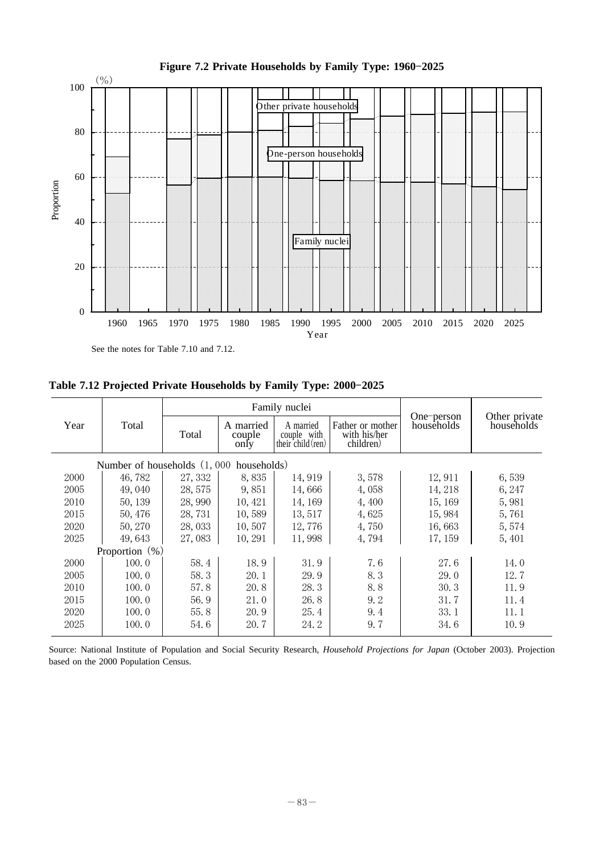

Figure 7.2 Private Households by Family Type: 1960-2025

See the notes for Table 7.10 and 7.12.

Table 7.12 Projected Private Households by Family Type: 2000-2025

|      |                                         |         |                             | Family nuclei                                 |                                               |                          |                             |
|------|-----------------------------------------|---------|-----------------------------|-----------------------------------------------|-----------------------------------------------|--------------------------|-----------------------------|
| Year | Total                                   | Total   | A married<br>couple<br>only | A married<br>couple with<br>their child (ren) | Father or mother<br>with his/her<br>children) | One-person<br>households | Other private<br>households |
|      | Number of households (1,000 households) |         |                             |                                               |                                               |                          |                             |
| 2000 | 46,782                                  | 27, 332 | 8,835                       | 14,919                                        | 3,578                                         | 12, 911                  | 6,539                       |
| 2005 | 49,040                                  | 28, 575 | 9,851                       | 14,666                                        | 4,058                                         | 14, 218                  | 6, 247                      |
| 2010 | 50, 139                                 | 28,990  | 10, 421                     | 14, 169                                       | 4,400                                         | 15, 169                  | 5,981                       |
| 2015 | 50, 476                                 | 28,731  | 10,589                      | 13,517                                        | 4,625                                         | 15,984                   | 5,761                       |
| 2020 | 50, 270                                 | 28,033  | 10,507                      | 12,776                                        | 4,750                                         | 16,663                   | 5,574                       |
| 2025 | 49,643                                  | 27,083  | 10, 291                     | 11,998                                        | 4,794                                         | 17, 159                  | 5,401                       |
|      | Proportion $(\%)$                       |         |                             |                                               |                                               |                          |                             |
| 2000 | 100.0                                   | 58.4    | 18.9                        | 31.9                                          | 7.6                                           | 27.6                     | 14.0                        |
| 2005 | 100.0                                   | 58.3    | 20.1                        | 29.9                                          | 8.3                                           | 29.0                     | 12.7                        |
| 2010 | 100.0                                   | 57.8    | 20.8                        | 28.3                                          | 8.8                                           | 30.3                     | 11.9                        |
| 2015 | 100.0                                   | 56.9    | 21.0                        | 26.8                                          | 9.2                                           | 31.7                     | 11.4                        |
| 2020 | 100.0                                   | 55.8    | 20.9                        | 25.4                                          | 9.4                                           | 33.1                     | 11.1                        |
| 2025 | 100.0                                   | 54.6    | 20.7                        | 24. 2                                         | 9.7                                           | 34.6                     | 10.9                        |

Source: National Institute of Population and Social Security Research, *Household Projections for Japan* (October 2003). Projection based on the 2000 Population Census.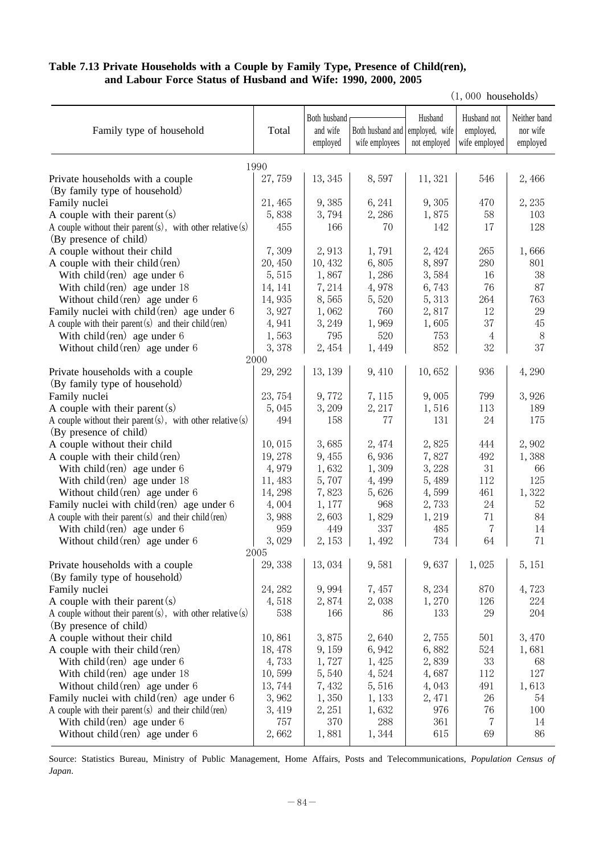## **Table 7.13 Private Households with a Couple by Family Type, Presence of Child(ren), and Labour Force Status of Husband and Wife: 1990, 2000, 2005**

 $(1,000$  households)

| Family type of household                                        | Total   | Both husband<br>and wife<br>employed | Both husband and employed, wife<br>wife employees | Husband<br>not employed | Husband not<br>employed,<br>wife employed | Neither band<br>nor wife<br>employed |
|-----------------------------------------------------------------|---------|--------------------------------------|---------------------------------------------------|-------------------------|-------------------------------------------|--------------------------------------|
|                                                                 | 1990    |                                      |                                                   |                         |                                           |                                      |
| Private households with a couple                                | 27,759  | 13, 345                              | 8,597                                             | 11, 321                 | 546                                       | 2,466                                |
| (By family type of household)                                   |         |                                      |                                                   |                         |                                           |                                      |
| Family nuclei                                                   | 21, 465 | 9,385                                | 6, 241                                            | 9,305                   | 470                                       | 2,235                                |
| A couple with their parent $(s)$                                | 5,838   | 3,794                                | 2,286                                             | 1,875                   | 58                                        | 103                                  |
| A couple without their parent $(s)$ , with other relative $(s)$ | 455     | 166                                  | 70                                                | 142                     | 17                                        | 128                                  |
| (By presence of child)                                          |         |                                      |                                                   |                         |                                           |                                      |
| A couple without their child                                    | 7,309   | 2,913                                | 1,791                                             | 2, 424                  | 265                                       | 1,666                                |
| A couple with their child (ren)                                 | 20,450  | 10,432                               | 6,805                                             | 8,897                   | 280                                       | 801                                  |
| With $child$ (ren) age under $6$                                | 5,515   | 1,867                                | 1,286                                             | 3,584                   | 16                                        | 38                                   |
| With child $(\text{ren})$ age under 18                          | 14, 141 | 7,214                                | 4,978                                             | 6,743                   | 76                                        | 87                                   |
| Without child $(\text{ren})$ age under 6                        | 14,935  | 8,565                                | 5,520                                             | 5, 313                  | 264                                       | 763                                  |
| Family nuclei with child $(ren)$ age under 6                    | 3,927   | 1,062                                | 760                                               | 2,817                   | 12                                        | 29                                   |
| A couple with their parent $(s)$ and their child $(ren)$        | 4,941   | 3, 249                               | 1,969                                             | 1,605                   | 37                                        | 45                                   |
| With child $(\text{ren})$ age under 6                           | 1,563   | 795                                  | 520                                               | 753                     | $\overline{4}$                            | 8                                    |
| Without child $(\text{ren})$ age under 6                        | 3,378   | 2,454                                | 1,449                                             | 852                     | 32                                        | 37                                   |
|                                                                 | 2000    |                                      |                                                   |                         |                                           |                                      |
| Private households with a couple                                | 29, 292 | 13, 139                              | 9,410                                             | 10,652                  | 936                                       | 4,290                                |
| (By family type of household)                                   |         |                                      |                                                   |                         |                                           |                                      |
| Family nuclei                                                   | 23,754  | 9,772                                | 7, 115                                            | 9,005                   | 799                                       | 3,926                                |
| A couple with their parent $(s)$                                | 5,045   | 3,209                                | 2, 217                                            | 1,516                   | 113                                       | 189                                  |
| A couple without their parent $(s)$ , with other relative $(s)$ | 494     | 158                                  | 77                                                | 131                     | 24                                        | 175                                  |
| (By presence of child)                                          |         |                                      |                                                   |                         |                                           |                                      |
| A couple without their child                                    | 10,015  | 3,685                                | 2,474                                             | 2,825                   | 444                                       | 2,902                                |
| A couple with their child (ren)                                 | 19,278  | 9,455                                | 6,936                                             | 7,827                   | 492                                       | 1,388                                |
| With child $(\text{ren})$ age under 6                           | 4,979   | 1,632                                | 1,309                                             | 3,228                   | 31                                        | 66                                   |
| With child $(\text{ren})$ age under 18                          | 11,483  | 5,707                                | 4,499                                             | 5,489                   | 112                                       | 125                                  |
| Without child $(\text{ren})$ age under 6                        | 14, 298 | 7,823                                | 5,626                                             | 4,599                   | 461                                       | 1,322                                |
| Family nuclei with child $(ren)$ age under 6                    | 4,004   | 1, 177                               | 968                                               | 2,733                   | 24                                        | 52                                   |
| A couple with their parent $(s)$ and their child (ren)          | 3,988   | 2,603                                | 1,829                                             | 1,219                   | 71                                        | 84                                   |
| With child $(\text{ren})$ age under 6                           | 959     | 449                                  | 337                                               | 485                     | 7                                         | 14                                   |
| Without child $(ren)$ age under 6                               | 3,029   | 2,153                                | 1,492                                             | 734                     | 64                                        | 71                                   |
|                                                                 | 2005    |                                      |                                                   |                         |                                           |                                      |
| Private households with a couple                                | 29,338  | 13,034                               | 9,581                                             | 9,637                   | 1,025                                     | 5, 151                               |
| (By family type of household)                                   |         |                                      |                                                   |                         |                                           |                                      |
| Family nuclei                                                   | 24, 282 | 9,994                                | 7,457                                             | 8,234                   | 870                                       | 4,723                                |
| A couple with their parent $(s)$                                | 4,518   | 2,874                                | 2,038                                             | 1,270                   | 126                                       | 224                                  |
| A couple without their parent $(s)$ , with other relative $(s)$ | 538     | 166                                  | 86                                                | 133                     | 29                                        | 204                                  |
| (By presence of child)                                          |         |                                      |                                                   |                         |                                           |                                      |
| A couple without their child                                    | 10,861  | 3,875                                | 2,640                                             | 2,755                   | 501                                       | 3,470                                |
| A couple with their child (ren)                                 | 18,478  | 9,159                                | 6,942                                             | 6,882                   | 524                                       | 1,681                                |
| With child $(\text{ren})$ age under 6                           | 4,733   | 1,727                                | 1,425                                             | 2,839                   | $33\,$                                    | 68                                   |
| With child $(\text{ren})$ age under 18                          | 10,599  | 5,540                                | 4,524                                             | 4,687                   | 112                                       | 127                                  |
| Without child $(ren)$ age under 6                               | 13,744  | 7,432                                | 5,516                                             | 4,043                   | 491                                       | 1,613                                |
| Family nuclei with child $(ren)$ age under 6                    | 3,962   | 1,350                                | 1,133                                             | 2,471                   | $26\,$                                    | 54                                   |
| A couple with their parent $(s)$ and their child $(ren)$        | 3,419   | 2,251                                | 1,632                                             | 976                     | 76                                        | 100                                  |
| With child $(\text{ren})$ age under 6                           | 757     | 370                                  | 288                                               | 361                     | $\overline{7}$                            | 14                                   |
| Without child (ren) age under 6                                 | 2,662   | 1,881                                | 1,344                                             | 615                     | 69                                        | 86                                   |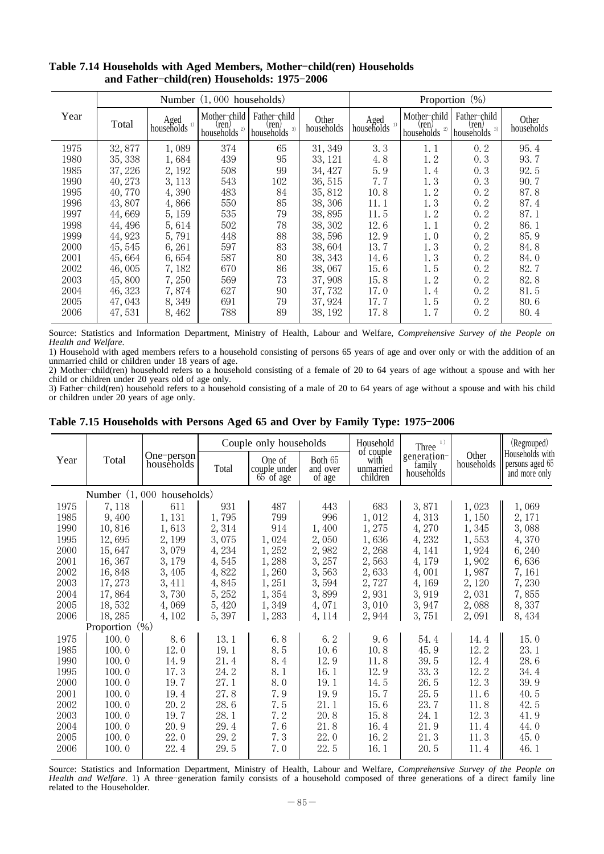|      |         |                            | Number (1,000 households)                 |                                          |                     |                        |                                     | Proportion $(\%)$                      |                     |
|------|---------|----------------------------|-------------------------------------------|------------------------------------------|---------------------|------------------------|-------------------------------------|----------------------------------------|---------------------|
| Year | Total   | Aged<br>households $^{1)}$ | Mother-child<br>(ren)<br>2)<br>households | Father-child<br>ren)<br>3)<br>households | Other<br>households | Aged<br>households $1$ | Mother-child<br>(ren)<br>households | Father-child<br>ren)<br>households $3$ | Other<br>households |
| 1975 | 32,877  | 1,089                      | 374                                       | 65                                       | 31, 349             | 3.3                    | 1.1                                 | 0.2                                    | 95.4                |
| 1980 | 35, 338 | 1,684                      | 439                                       | 95                                       | 33, 121             | 4.8                    | 1.2                                 | 0.3                                    | 93.7                |
| 1985 | 37, 226 | 2, 192                     | 508                                       | 99                                       | 34, 427             | 5.9                    | 1.4                                 | 0.3                                    | 92.5                |
| 1990 | 40, 273 | 3, 113                     | 543                                       | 102                                      | 36, 515             | 7.7                    | 1.3                                 | 0.3                                    | 90.7                |
| 1995 | 40,770  | 4,390                      | 483                                       | 84                                       | 35, 812             | 10.8                   | 1.2                                 | 0.2                                    | 87.8                |
| 1996 | 43,807  | 4,866                      | 550                                       | 85                                       | 38, 306             | 11.1                   | 1.3                                 | 0.2                                    | 87.4                |
| 1997 | 44,669  | 5, 159                     | 535                                       | 79                                       | 38,895              | 11.5                   | 1.2                                 | 0.2                                    | 87.1                |
| 1998 | 44, 496 | 5,614                      | 502                                       | 78                                       | 38, 302             | 12.6                   | 1. 1                                | 0.2                                    | 86.1                |
| 1999 | 44, 923 | 5,791                      | 448                                       | 88                                       | 38,596              | 12.9                   | 1.0                                 | 0.2                                    | 85.9                |
| 2000 | 45, 545 | 6,261                      | 597                                       | 83                                       | 38,604              | 13.7                   | 1.3                                 | 0.2                                    | 84.8                |
| 2001 | 45,664  | 6,654                      | 587                                       | 80                                       | 38, 343             | 14.6                   | 1.3                                 | 0.2                                    | 84.0                |
| 2002 | 46,005  | 7,182                      | 670                                       | 86                                       | 38,067              | 15.6                   | 1.5                                 | 0, 2                                   | 82.7                |
| 2003 | 45,800  | 7,250                      | 569                                       | 73                                       | 37,908              | 15.8                   | 1.2                                 | 0.2                                    | 82.8                |
| 2004 | 46, 323 | 7,874                      | 627                                       | 90                                       | 37, 732             | 17.0                   | 1.4                                 | 0, 2                                   | 81.5                |
| 2005 | 47, 043 | 8, 349                     | 691                                       | 79                                       | 37, 924             | 17.7                   | 1.5                                 | 0, 2                                   | 80.6                |
| 2006 | 47,531  | 8,462                      | 788                                       | 89                                       | 38, 192             | 17.8                   | 1.7                                 | 0, 2                                   | 80.4                |

#### **Table 7.14 Households with Aged Members, Mother child(ren) Households** and Father-child(ren) Households: 1975-2006

Source: Statistics and Information Department, Ministry of Health, Labour and Welfare, *Comprehensive Survey of the People on Health and Welfare*.

1) Household with aged members refers to a household consisting of persons 65 years of age and over only or with the addition of an unmarried child or children under 18 years of age.

2) Mother-child(ren) household refers to a household consisting of a female of 20 to 64 years of age without a spouse and with her child or children under 20 years old of age only.

3) Father-child(ren) household refers to a household consisting of a male of 20 to 64 years of age without a spouse and with his child or children under 20 years of age only.

|      |                   |                           |        | Couple only households              |                               | Household                                  | 1)<br>Three                         |                     | (Regrouped)                                         |
|------|-------------------|---------------------------|--------|-------------------------------------|-------------------------------|--------------------------------------------|-------------------------------------|---------------------|-----------------------------------------------------|
| Year | Total             | One-person<br>households  | Total  | One of<br>couple under<br>65 of age | Both 65<br>and over<br>of age | of couple<br>with<br>unmarried<br>children | generation-<br>family<br>households | Other<br>households | Households with<br>persons aged 65<br>and more only |
|      |                   | Number (1,000 households) |        |                                     |                               |                                            |                                     |                     |                                                     |
| 1975 | 7,118             | 611                       | 931    | 487                                 | 443                           | 683                                        | 3,871                               | 1,023               | 1,069                                               |
| 1985 | 9,400             | 1,131                     | 1,795  | 799                                 | 996                           | 1,012                                      | 4,313                               | 1,150               | 2, 171                                              |
| 1990 | 10,816            | 1,613                     | 2,314  | 914                                 | 1,400                         | 1,275                                      | 4,270                               | 1,345               | 3,088                                               |
| 1995 | 12,695            | 2, 199                    | 3,075  | 1,024                               | 2,050                         | 1,636                                      | 4,232                               | 1,553               | 4,370                                               |
| 2000 | 15,647            | 3,079                     | 4,234  | 1,252                               | 2,982                         | 2,268                                      | 4, 141                              | 1,924               | 6,240                                               |
| 2001 | 16, 367           | 3, 179                    | 4,545  | 1,288                               | 3, 257                        | 2,563                                      | 4,179                               | 1,902               | 6,636                                               |
| 2002 | 16,848            | 3,405                     | 4,822  | 1,260                               | 3,563                         | 2,633                                      | 4,001                               | 1,987               | 7,161                                               |
| 2003 | 17, 273           | 3, 411                    | 4,845  | 1,251                               | 3,594                         | 2,727                                      | 4,169                               | 2, 120              | 7,230                                               |
| 2004 | 17,864            | 3,730                     | 5, 252 | 1,354                               | 3,899                         | 2,931                                      | 3,919                               | 2,031               | 7,855                                               |
| 2005 | 18,532            | 4,069                     | 5,420  | 1,349                               | 4,071                         | 3,010                                      | 3,947                               | 2,088               | 8,337                                               |
| 2006 | 18, 285           | 4,102                     | 5,397  | 1,283                               | 4, 114                        | 2,944                                      | 3,751                               | 2,091               | 8,434                                               |
|      | Proportion $(\%)$ |                           |        |                                     |                               |                                            |                                     |                     |                                                     |
| 1975 | 100.0             | 8.6                       | 13.1   | 6.8                                 | 6.2                           | 9.6                                        | 54.4                                | 14.4                | 15.0                                                |
| 1985 | 100.0             | 12.0                      | 19.1   | 8.5                                 | 10.6                          | 10.8                                       | 45.9                                | 12.2                | 23.1                                                |
| 1990 | 100.0             | 14.9                      | 21.4   | 8.4                                 | 12.9                          | 11.8                                       | 39.5                                | 12.4                | 28.6                                                |
| 1995 | 100.0             | 17.3                      | 24.2   | 8.1                                 | 16.1                          | 12.9                                       | 33.3                                | 12.2                | 34.4                                                |
| 2000 | 100.0             | 19.7                      | 27.1   | 8.0                                 | 19.1                          | 14.5                                       | 26.5                                | 12.3                | 39.9                                                |
| 2001 | 100.0             | 19.4                      | 27.8   | 7.9                                 | 19.9                          | 15.7                                       | 25.5                                | 11.6                | 40.5                                                |
| 2002 | 100.0             | 20.2                      | 28.6   | 7.5                                 | 21.1                          | 15.6                                       | 23.7                                | 11.8                | 42.5                                                |
| 2003 | 100.0             | 19.7                      | 28.1   | 7.2                                 | 20.8                          | 15.8                                       | 24.1                                | 12.3                | 41.9                                                |
| 2004 | 100.0             | 20.9                      | 29.4   | 7.6                                 | 21.8                          | 16.4                                       | 21.9                                | 11.4                | 44.0                                                |
| 2005 | 100.0             | 22.0                      | 29.2   | 7.3                                 | 22.0                          | 16.2                                       | 21.3                                | 11.3                | 45.0                                                |
| 2006 | 100.0             | 22.4                      | 29.5   | 7.0                                 | 22.5                          | 16.1                                       | 20.5                                | 11.4                | 46.1                                                |

#### Table 7.15 Households with Persons Aged 65 and Over by Family Type: 1975-2006

Source: Statistics and Information Department, Ministry of Health, Labour and Welfare, *Comprehensive Survey of the People on Health and Welfare*. 1) A three-generation family consists of a household composed of three generations of a direct family line related to the Householder.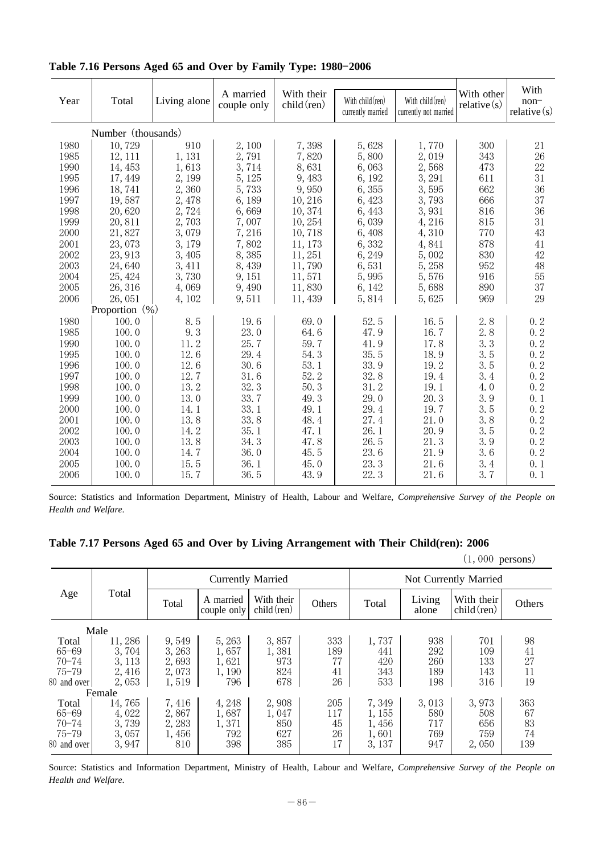|      |                    |              |                          |                             |                                       |                                             |                              | With                     |
|------|--------------------|--------------|--------------------------|-----------------------------|---------------------------------------|---------------------------------------------|------------------------------|--------------------------|
| Year | Total              | Living alone | A married<br>couple only | With their<br>$child$ (ren) | With child (ren)<br>currently married | With $child$ (ren)<br>currently not married | With other<br>relative $(s)$ | $non-$<br>relative $(s)$ |
|      | Number (thousands) |              |                          |                             |                                       |                                             |                              |                          |
| 1980 | 10,729             | 910          | 2,100                    | 7,398                       | 5,628                                 | 1,770                                       | 300                          | 21                       |
| 1985 | 12, 111            | 1,131        | 2,791                    | 7,820                       | 5,800                                 | 2,019                                       | 343                          | 26                       |
| 1990 | 14, 453            | 1,613        | 3,714                    | 8,631                       | 6,063                                 | 2,568                                       | 473                          | 22                       |
| 1995 | 17, 449            | 2, 199       | 5, 125                   | 9,483                       | 6, 192                                | 3,291                                       | 611                          | 31                       |
| 1996 | 18,741             | 2,360        | 5,733                    | 9,950                       | 6,355                                 | 3,595                                       | 662                          | 36                       |
| 1997 | 19,587             | 2,478        | 6,189                    | 10,216                      | 6,423                                 | 3,793                                       | 666                          | 37                       |
| 1998 | 20,620             | 2,724        | 6,669                    | 10, 374                     | 6, 443                                | 3,931                                       | 816                          | 36                       |
| 1999 | 20,811             | 2,703        | 7,007                    | 10, 254                     | 6,039                                 | 4,216                                       | 815                          | 31                       |
| 2000 | 21,827             | 3,079        | 7,216                    | 10,718                      | 6,408                                 | 4,310                                       | 770                          | 43                       |
| 2001 | 23,073             | 3,179        | 7,802                    | 11, 173                     | 6,332                                 | 4,841                                       | 878                          | 41                       |
| 2002 | 23, 913            | 3,405        | 8,385                    | 11, 251                     | 6,249                                 | 5,002                                       | 830                          | 42                       |
| 2003 | 24,640             | 3,411        | 8,439                    | 11,790                      | 6,531                                 | 5,258                                       | 952                          | 48                       |
| 2004 | 25, 424            | 3,730        | 9, 151                   | 11,571                      | 5,995                                 | 5,576                                       | 916                          | 55                       |
| 2005 | 26, 316            | 4,069        | 9,490                    | 11,830                      | 6, 142                                | 5,688                                       | 890                          | 37                       |
| 2006 | 26, 051            | 4,102        | 9,511                    | 11, 439                     | 5,814                                 | 5,625                                       | 969                          | 29                       |
|      | Proportion (%)     |              |                          |                             |                                       |                                             |                              |                          |
| 1980 | 100.0              | 8.5          | 19.6                     | 69.0                        | 52.5                                  | 16.5                                        | 2.8                          | 0.2                      |
| 1985 | 100.0              | 9.3          | 23.0                     | 64.6                        | 47.9                                  | 16.7                                        | 2.8                          | 0.2                      |
| 1990 | 100.0              | 11.2         | 25.7                     | 59.7                        | 41.9                                  | 17.8                                        | 3.3                          | 0.2                      |
| 1995 | 100.0              | 12.6         | 29.4                     | 54.3                        | 35.5                                  | 18.9                                        | 3.5                          | 0.2                      |
| 1996 | 100.0              | 12.6         | 30.6                     | 53.1                        | 33.9                                  | 19.2                                        | 3.5                          | 0.2                      |
| 1997 | 100.0              | 12.7         | 31.6                     | 52.2                        | 32.8                                  | 19.4                                        | 3.4                          | 0.2                      |
| 1998 | 100.0              | 13.2         | 32.3                     | 50.3                        | 31.2                                  | 19.1                                        | 4.0                          | 0.2                      |
| 1999 | 100.0              | 13.0         | 33.7                     | 49.3                        | 29.0                                  | 20.3                                        | 3.9                          | 0.1                      |
| 2000 | 100.0              | 14.1         | 33.1                     | 49.1                        | 29.4                                  | 19.7                                        | 3.5                          | 0.2                      |
| 2001 | 100.0              | 13.8         | 33.8                     | 48.4                        | 27.4                                  | 21.0                                        | 3.8                          | 0.2                      |
| 2002 | 100.0              | 14.2         | 35.1                     | 47.1                        | 26.1                                  | 20.9                                        | 3.5                          | 0.2                      |
| 2003 | 100.0              | 13.8         | 34.3                     | 47.8                        | 26.5                                  | 21.3                                        | 3.9                          | 0.2                      |
| 2004 | 100.0              | 14.7         | 36.0                     | 45.5                        | 23.6                                  | 21.9                                        | 3.6                          | 0.2                      |
| 2005 | 100.0              | 15.5         | 36.1                     | 45.0                        | 23.3                                  | 21.6                                        | 3.4                          | 0.1                      |
| 2006 | 100.0              | 15.7         | 36.5                     | 43.9                        | 22.3                                  | 21.6                                        | 3.7                          | 0.1                      |

Table 7.16 Persons Aged 65 and Over by Family Type: 1980-2006

Source: Statistics and Information Department, Ministry of Health, Labour and Welfare, *Comprehensive Survey of the People on Health and Welfare*.

|             |        | o      |                          | o                           | o      |                       |                 |                             |        |
|-------------|--------|--------|--------------------------|-----------------------------|--------|-----------------------|-----------------|-----------------------------|--------|
|             |        |        |                          |                             |        |                       |                 | $(1,000 \text{ persons})$   |        |
|             |        |        |                          | <b>Currently Married</b>    |        | Not Currently Married |                 |                             |        |
| Age         | Total  | Total  | A married<br>couple only | With their<br>$child$ (ren) | Others | Total                 | Living<br>alone | With their<br>$child$ (ren) | Others |
|             | Male   |        |                          |                             |        |                       |                 |                             |        |
| Total       | 11,286 | 9,549  | 5,263                    | 3,857                       | 333    | 1,737                 | 938             | 701                         | 98     |
| $65 - 69$   | 3,704  | 3, 263 | 1,657                    | 1,381                       | 189    | 441                   | 292             | 109                         | 41     |
| $70 - 74$   | 3, 113 | 2,693  | 1,621                    | 973                         | 77     | 420                   | 260             | 133                         | 27     |
| $75 - 79$   | 2,416  | 2,073  | 1,190                    | 824                         | 41     | 343                   | 189             | 143                         | 11     |
| 80 and over | 2,053  | 1,519  | 796                      | 678                         | 26     | 533                   | 198             | 316                         | 19     |
|             | Female |        |                          |                             |        |                       |                 |                             |        |
| Total       | 14,765 | 7,416  | 4,248                    | 2,908                       | 205    | 7,349                 | 3,013           | 3,973                       | 363    |
| $65 - 69$   | 4,022  | 2,867  | 1,687                    | 1,047                       | 117    | 1, 155                | 580             | 508                         | 67     |
| $70 - 74$   | 3,739  | 2,283  | 1,371                    | 850                         | 45     | 1,456                 | 717             | 656                         | 83     |
| 75–79       | 3,057  | 1,456  | 792                      | 627                         | 26     | 1,601                 | 769             | 759                         | 74     |
| 80 and over | 3,947  | 810    | 398                      | 385                         | 17     | 3, 137                | 947             | 2,050                       | 139    |
|             |        |        |                          |                             |        |                       |                 |                             |        |

Source: Statistics and Information Department, Ministry of Health, Labour and Welfare, *Comprehensive Survey of the People on Health and Welfare*.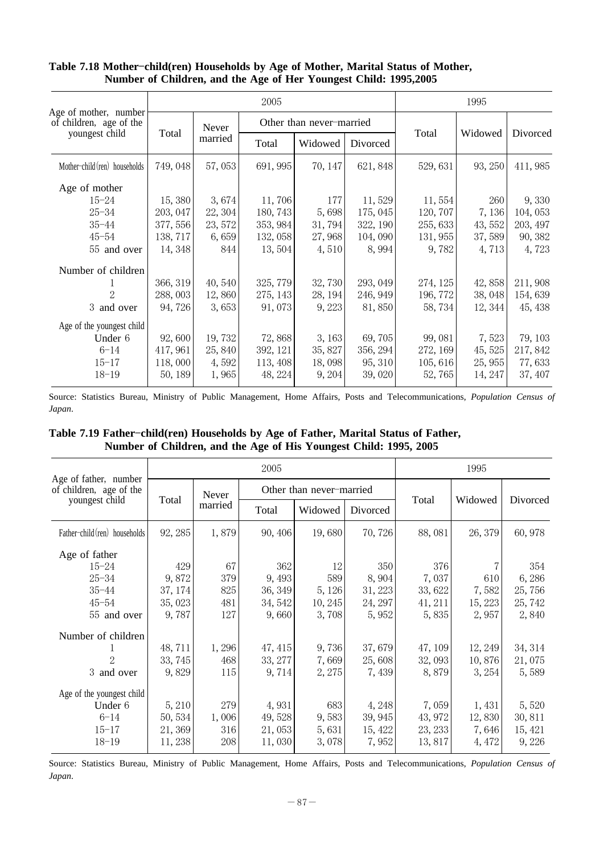|                                                  |          |         | 2005     |                          |          |          | 1995    |          |
|--------------------------------------------------|----------|---------|----------|--------------------------|----------|----------|---------|----------|
| Age of mother, number<br>of children, age of the |          | Never   |          | Other than never-married |          |          |         |          |
| youngest child                                   | Total    | married | Total    | Widowed                  | Divorced | Total    | Widowed | Divorced |
| Mother-child (ren) households                    | 749, 048 | 57,053  | 691, 995 | 70, 147                  | 621, 848 | 529, 631 | 93, 250 | 411, 985 |
| Age of mother                                    |          |         |          |                          |          |          |         |          |
| $15 - 24$                                        | 15,380   | 3,674   | 11,706   | 177                      | 11,529   | 11,554   | 260     | 9,330    |
| $25 - 34$                                        | 203, 047 | 22, 304 | 180, 743 | 5,698                    | 175, 045 | 120, 707 | 7,136   | 104, 053 |
| $35 - 44$                                        | 377, 556 | 23, 572 | 353, 984 | 31,794                   | 322, 190 | 255, 633 | 43, 552 | 203, 497 |
| $45 - 54$                                        | 138, 717 | 6,659   | 132, 058 | 27,968                   | 104,090  | 131, 955 | 37,589  | 90, 382  |
| 55 and over                                      | 14, 348  | 844     | 13, 504  | 4,510                    | 8,994    | 9,782    | 4,713   | 4,723    |
| Number of children                               |          |         |          |                          |          |          |         |          |
|                                                  | 366, 319 | 40,540  | 325, 779 | 32,730                   | 293, 049 | 274, 125 | 42,858  | 211,908  |
| 2                                                | 288,003  | 12,860  | 275, 143 | 28, 194                  | 246, 949 | 196, 772 | 38,048  | 154,639  |
| 3 and over                                       | 94,726   | 3,653   | 91,073   | 9,223                    | 81,850   | 58,734   | 12, 344 | 45, 438  |
| Age of the youngest child                        |          |         |          |                          |          |          |         |          |
| Under 6                                          | 92,600   | 19,732  | 72,868   | 3, 163                   | 69,705   | 99,081   | 7,523   | 79, 103  |
| $6 - 14$                                         | 417, 961 | 25,840  | 392, 121 | 35, 827                  | 356, 294 | 272, 169 | 45, 525 | 217,842  |
| $15 - 17$                                        | 118,000  | 4,592   | 113, 408 | 18,098                   | 95, 310  | 105, 616 | 25, 955 | 77,633   |
| $18 - 19$                                        | 50, 189  | 1,965   | 48, 224  | 9, 204                   | 39,020   | 52,765   | 14, 247 | 37, 407  |

#### Table 7.18 Mother-child(ren) Households by Age of Mother, Marital Status of Mother, **Number of Children, and the Age of Her Youngest Child: 1995,2005**

Source: Statistics Bureau, Ministry of Public Management, Home Affairs, Posts and Telecommunications, *Population Census of Japan*.

|  | Table 7.19 Father-child(ren) Households by Age of Father, Marital Status of Father, |  |  |  |
|--|-------------------------------------------------------------------------------------|--|--|--|
|  | Number of Children, and the Age of His Youngest Child: 1995, 2005                   |  |  |  |

|                                                  |         |         | 2005    |                          |          |         | 1995    |          |
|--------------------------------------------------|---------|---------|---------|--------------------------|----------|---------|---------|----------|
| Age of father, number<br>of children, age of the |         | Never   |         | Other than never-married |          |         | Widowed |          |
| youngest child                                   | Total   | married | Total   | Widowed                  | Divorced | Total   |         | Divorced |
| Father-child (ren) households                    | 92, 285 | 1,879   | 90, 406 | 19,680                   | 70,726   | 88,081  | 26, 379 | 60,978   |
| Age of father                                    |         |         |         |                          |          |         |         |          |
| $15 - 24$                                        | 429     | 67      | 362     | 12                       | 350      | 376     |         | 354      |
| $25 - 34$                                        | 9,872   | 379     | 9,493   | 589                      | 8,904    | 7,037   | 610     | 6,286    |
| $35 - 44$                                        | 37, 174 | 825     | 36, 349 | 5, 126                   | 31, 223  | 33, 622 | 7,582   | 25,756   |
| $45 - 54$                                        | 35,023  | 481     | 34, 542 | 10, 245                  | 24, 297  | 41, 211 | 15, 223 | 25, 742  |
| 55 and over                                      | 9,787   | 127     | 9,660   | 3,708                    | 5,952    | 5,835   | 2,957   | 2,840    |
| Number of children                               |         |         |         |                          |          |         |         |          |
|                                                  | 48,711  | 1,296   | 47, 415 | 9,736                    | 37,679   | 47, 109 | 12, 249 | 34, 314  |
| 2                                                | 33, 745 | 468     | 33, 277 | 7,669                    | 25,608   | 32,093  | 10,876  | 21,075   |
| 3 and over                                       | 9,829   | 115     | 9, 714  | 2, 275                   | 7, 439   | 8,879   | 3, 254  | 5,589    |
| Age of the youngest child                        |         |         |         |                          |          |         |         |          |
| Under 6                                          | 5,210   | 279     | 4,931   | 683                      | 4,248    | 7,059   | 1, 431  | 5,520    |
| $6 - 14$                                         | 50, 534 | 1,006   | 49,528  | 9,583                    | 39, 945  | 43, 972 | 12,830  | 30, 811  |
| $15 - 17$                                        | 21,369  | 316     | 21,053  | 5,631                    | 15, 422  | 23, 233 | 7,646   | 15, 421  |
| $18 - 19$                                        | 11,238  | 208     | 11,030  | 3,078                    | 7,952    | 13,817  | 4, 472  | 9,226    |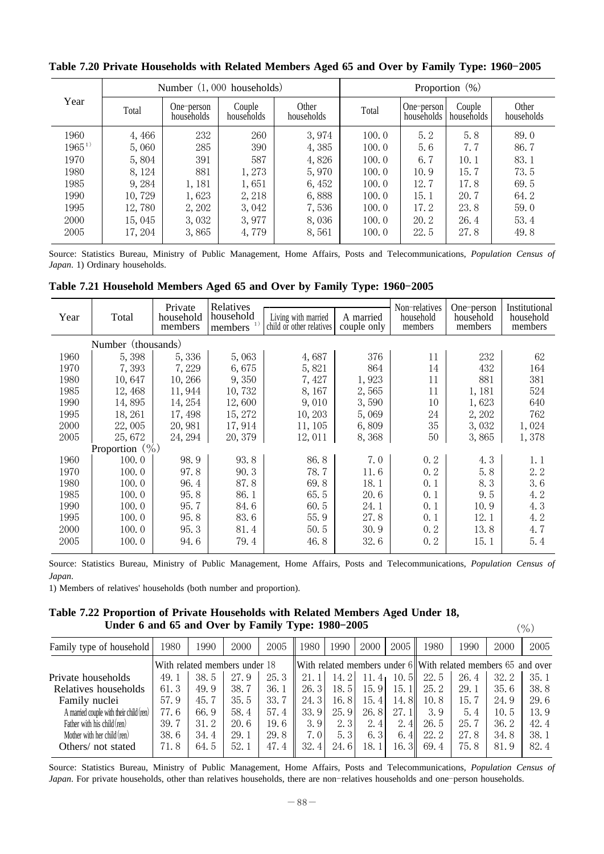|             |         | Number $(1,000$ households) |                      |                     |       |                          | Proportion $(\%)$    |                     |
|-------------|---------|-----------------------------|----------------------|---------------------|-------|--------------------------|----------------------|---------------------|
| Year        | Total   | One-person<br>households    | Couple<br>households | Other<br>households | Total | One-person<br>households | Couple<br>households | Other<br>households |
| 1960        | 4,466   | 232                         | 260                  | 3,974               | 100.0 | 5.2                      | 5.8                  | 89.0                |
| $1965^{11}$ | 5,060   | 285                         | 390                  | 4,385               | 100.0 | 5.6                      | 7.7                  | 86.7                |
| 1970        | 5,804   | 391                         | 587                  | 4,826               | 100.0 | 6.7                      | 10.1                 | 83.1                |
| 1980        | 8, 124  | 881                         | 1,273                | 5,970               | 100.0 | 10.9                     | 15.7                 | 73.5                |
| 1985        | 9, 284  | 1,181                       | 1,651                | 6, 452              | 100.0 | 12.7                     | 17.8                 | 69.5                |
| 1990        | 10,729  | 1,623                       | 2, 218               | 6,888               | 100.0 | 15.1                     | 20.7                 | 64.2                |
| 1995        | 12,780  | 2, 202                      | 3,042                | 7,536               | 100.0 | 17.2                     | 23.8                 | 59.0                |
| 2000        | 15,045  | 3,032                       | 3,977                | 8,036               | 100.0 | 20.2                     | 26.4                 | 53.4                |
| 2005        | 17, 204 | 3,865                       | 4,779                | 8,561               | 100.0 | 22.5                     | 27.8                 | 49.8                |
|             |         |                             |                      |                     |       |                          |                      |                     |

Table 7.20 Private Households with Related Members Aged 65 and Over by Family Type: 1960-2005

Source: Statistics Bureau, Ministry of Public Management, Home Affairs, Posts and Telecommunications, *Population Census of Japan*. 1) Ordinary households.

|  |  |  | Table 7.21 Household Members Aged 65 and Over by Family Type: 1960-2005 |  |  |  |  |  |  |  |  |  |  |
|--|--|--|-------------------------------------------------------------------------|--|--|--|--|--|--|--|--|--|--|
|--|--|--|-------------------------------------------------------------------------|--|--|--|--|--|--|--|--|--|--|

| Year | Total              | Private<br>household<br>members | Relatives<br>household<br>members $1)$ | Living with married<br>child or other relatives | A married<br>couple only | Non-relatives<br>household<br>members | One-person<br>household<br>members | Institutional<br>household<br>members |
|------|--------------------|---------------------------------|----------------------------------------|-------------------------------------------------|--------------------------|---------------------------------------|------------------------------------|---------------------------------------|
|      | Number (thousands) |                                 |                                        |                                                 |                          |                                       |                                    |                                       |
| 1960 | 5,398              | 5, 336                          | 5,063                                  | 4,687                                           | 376                      | 11                                    | 232                                | 62                                    |
| 1970 | 7,393              | 7,229                           | 6,675                                  | 5,821                                           | 864                      | 14                                    | 432                                | 164                                   |
| 1980 | 10,647             | 10, 266                         | 9,350                                  | 7,427                                           | 1,923                    | 11                                    | 881                                | 381                                   |
| 1985 | 12,468             | 11,944                          | 10,732                                 | 8,167                                           | 2,565                    | 11                                    | 1,181                              | 524                                   |
| 1990 | 14,895             | 14, 254                         | 12,600                                 | 9,010                                           | 3,590                    | 10                                    | 1,623                              | 640                                   |
| 1995 | 18, 261            | 17, 498                         | 15, 272                                | 10, 203                                         | 5,069                    | 24                                    | 2,202                              | 762                                   |
| 2000 | 22,005             | 20,981                          | 17,914                                 | 11, 105                                         | 6,809                    | 35                                    | 3,032                              | 1,024                                 |
| 2005 | 25,672             | 24, 294                         | 20, 379                                | 12,011                                          | 8,368                    | 50                                    | 3,865                              | 1,378                                 |
|      | Proportion $(\% )$ |                                 |                                        |                                                 |                          |                                       |                                    |                                       |
| 1960 | 100.0              | 98.9                            | 93.8                                   | 86.8                                            | 7.0                      | 0, 2                                  | 4.3                                | 1.1                                   |
| 1970 | 100.0              | 97.8                            | 90.3                                   | 78.7                                            | 11.6                     | 0.2                                   | 5.8                                | 2.2                                   |
| 1980 | 100.0              | 96.4                            | 87.8                                   | 69.8                                            | 18.1                     | 0.1                                   | 8.3                                | 3.6                                   |
| 1985 | 100.0              | 95.8                            | 86.1                                   | 65.5                                            | 20.6                     | 0.1                                   | 9.5                                | 4.2                                   |
| 1990 | 100.0              | 95.7                            | 84.6                                   | 60.5                                            | 24.1                     | 0.1                                   | 10.9                               | 4.3                                   |
| 1995 | 100.0              | 95.8                            | 83.6                                   | 55.9                                            | 27.8                     | 0.1                                   | 12.1                               | 4.2                                   |
| 2000 | 100.0              | 95.3                            | 81.4                                   | 50.5                                            | 30.9                     | 0.2                                   | 13.8                               | 4.7                                   |
| 2005 | 100.0              | 94.6                            | 79.4                                   | 46.8                                            | 32.6                     | 0.2                                   | 15.1                               | 5.4                                   |

Source: Statistics Bureau, Ministry of Public Management, Home Affairs, Posts and Telecommunications, *Population Census of Japan*.

1) Members of relatives' households (both number and proportion).

**Table 7.22 Proportion of Private Households with Related Members Aged Under 18,** Under 6 and 65 and Over by Family Type:  $1980-2005$  (%)

| Family type of household                | 1980 | 1990                          | 2000 | 2005  | 1980               | 1990  | 2000         | 2005             | 1980                                                              | 1990 | 2000 | 2005 |
|-----------------------------------------|------|-------------------------------|------|-------|--------------------|-------|--------------|------------------|-------------------------------------------------------------------|------|------|------|
|                                         |      | With related members under 18 |      |       |                    |       |              |                  | With related members under $6$ With related members $65$ and over |      |      |      |
| Private households                      | 49.1 | 38.5                          | 27.9 | 25.3  |                    | 14. 2 | 11.<br>$-41$ | 10.<br>. 5 I     | 22.5                                                              | 26.4 | 32.2 | 35.1 |
| Relatives households                    | 61.3 | 49.9                          | 38.7 | 36.1  | 26.3               | 18.5  | 15.9         | 15.1             | 25.2                                                              | 29.1 | 35.6 | 38.8 |
| Family nuclei                           | 57.9 | 45.7                          | 35.5 | 33.7  | 24.3               | 16.8  | 15.4         | 14.8             | 10.8                                                              | 15.7 | 24.9 | 29.6 |
| A married couple with their child (ren) | 77.6 | 66.9                          | 58.4 | 57.4  | 33.9               | 25.9  | 26.8         | 27.11            | 3.9                                                               | 5.4  | 10.5 | 13.9 |
| Father with his child (ren)             | 39.7 | 31.2                          | 20.6 | 19. 6 | 3.9                | 2.3   | 2.4          | 2.<br>4II        | 26.5                                                              | 25.7 | 36.2 | 42.4 |
| Mother with her child $(ren)$           | 38.6 | 34.4                          | 29.1 | 29.8  | 7.0                | 5.3   | 6.3          | 6.4 <sub>1</sub> | 22.2                                                              | 27.8 | 34.8 | 38.1 |
| Others/ not stated                      | 71.8 | 64.5                          | 52.1 | 47.4  | 32.<br>$4^{\circ}$ | 24.6  | 18.1         | 16. 3II          | 69.4                                                              | 75.8 | 81.9 | 82.4 |
|                                         |      |                               |      |       |                    |       |              |                  |                                                                   |      |      |      |

Source: Statistics Bureau, Ministry of Public Management, Home Affairs, Posts and Telecommunications, *Population Census of Japan*. For private households, other than relatives households, there are non-relatives households and one-person households.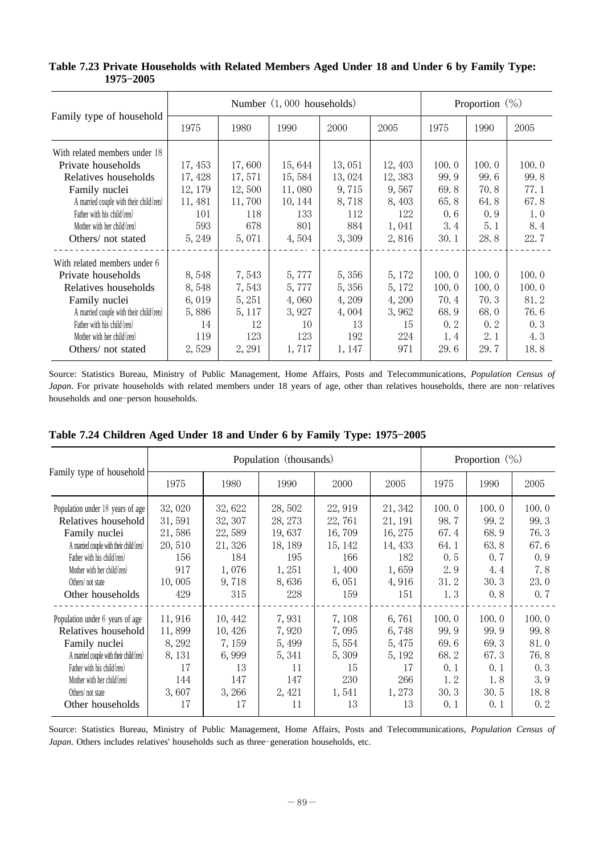|                                         |         |        | Number (1,000 households) |        |         |       | Proportion $(\% )$ |       |
|-----------------------------------------|---------|--------|---------------------------|--------|---------|-------|--------------------|-------|
| Family type of household                | 1975    | 1980   | 1990                      | 2000   | 2005    | 1975  | 1990               | 2005  |
| With related members under 18           |         |        |                           |        |         |       |                    |       |
| Private households                      | 17, 453 | 17,600 | 15,644                    | 13,051 | 12, 403 | 100.0 | 100.0              | 100.0 |
| Relatives households                    | 17, 428 | 17,571 | 15,584                    | 13,024 | 12,383  | 99.9  | 99.6               | 99.8  |
| Family nuclei                           | 12, 179 | 12,500 | 11,080                    | 9,715  | 9,567   | 69.8  | 70.8               | 77.1  |
| A married couple with their child (ren) | 11, 481 | 11,700 | 10, 144                   | 8,718  | 8,403   | 65.8  | 64.8               | 67.8  |
| Father with his child (ren)             | 101     | 118    | 133                       | 112    | 122     | 0.6   | 0.9                | 1.0   |
| Mother with her child (ren)             | 593     | 678    | 801                       | 884    | 1,041   | 3.4   | 5.1                | 8.4   |
| Others/ not stated                      | 5, 249  | 5,071  | 4,504                     | 3,309  | 2,816   | 30.1  | 28.8               | 22.7  |
| With related members under 6            |         |        |                           |        |         |       |                    |       |
| Private households                      | 8,548   | 7,543  | 5,777                     | 5,356  | 5, 172  | 100.0 | 100.0              | 100.0 |
| Relatives households                    | 8,548   | 7,543  | 5,777                     | 5,356  | 5, 172  | 100.0 | 100.0              | 100.0 |
| Family nuclei                           | 6,019   | 5, 251 | 4,060                     | 4, 209 | 4,200   | 70.4  | 70.3               | 81.2  |
| A married couple with their child (ren) | 5,886   | 5, 117 | 3,927                     | 4,004  | 3,962   | 68.9  | 68.0               | 76.6  |
| Father with his child (ren)             | 14      | 12     | 10                        | 13     | 15      | 0, 2  | 0.2                | 0.3   |
| Mother with her child (ren)             | 119     | 123    | 123                       | 192    | 224     | 1.4   | 2.1                | 4.3   |
| Others/not stated                       | 2,529   | 2, 291 | 1,717                     | 1, 147 | 971     | 29.6  | 29.7               | 18.8  |

**Table 7.23 Private Households with Related Members Aged Under 18 and Under 6 by Family Type: 1975 2005** -

Source: Statistics Bureau, Ministry of Public Management, Home Affairs, Posts and Telecommunications, *Population Census of Japan*. For private households with related members under 18 years of age, other than relatives households, there are non-relatives households and one-person households.

|                                         |        |         | Population (thousands) |         |         |       | Proportion $(\% )$ |       |
|-----------------------------------------|--------|---------|------------------------|---------|---------|-------|--------------------|-------|
| Family type of household                | 1975   | 1980    | 1990                   | 2000    | 2005    | 1975  | 1990               | 2005  |
| Population under 18 years of age        | 32,020 | 32,622  | 28,502                 | 22, 919 | 21, 342 | 100.0 | 100.0              | 100.0 |
| Relatives household                     | 31,591 | 32, 307 | 28, 273                | 22,761  | 21, 191 | 98.7  | 99.2               | 99.3  |
| Family nuclei                           | 21,586 | 22,589  | 19,637                 | 16,709  | 16, 275 | 67.4  | 68.9               | 76.3  |
| A married couple with their child (ren) | 20,510 | 21,326  | 18, 189                | 15, 142 | 14, 433 | 64.1  | 63.8               | 67.6  |
| Father with his child (ren)             | 156    | 184     | 195                    | 166     | 182     | 0.5   | 0.7                | 0.9   |
| Mother with her child (ren)             | 917    | 1,076   | 1,251                  | 1,400   | 1,659   | 2.9   | 4.4                | 7.8   |
| Others/not state                        | 10,005 | 9,718   | 8,636                  | 6,051   | 4,916   | 31.2  | 30.3               | 23.0  |
| Other households                        | 429    | 315     | 228                    | 159     | 151     | 1.3   | 0.8                | 0.7   |
| Population under 6 years of age         | 11,916 | 10, 442 | 7,931                  | 7,108   | 6,761   | 100.0 | 100.0              | 100.0 |
| Relatives household                     | 11,899 | 10,426  | 7,920                  | 7,095   | 6,748   | 99.9  | 99.9               | 99.8  |
| Family nuclei                           | 8, 292 | 7, 159  | 5, 499                 | 5, 554  | 5,475   | 69.6  | 69.3               | 81.0  |
| A married couple with their child (ren) | 8, 131 | 6,999   | 5, 341                 | 5,309   | 5, 192  | 68.2  | 67.3               | 76.8  |
| Father with his child (ren)             | 17     | 13      | 11                     | 15      | 17      | 0.1   | 0.1                | 0.3   |
| Mother with her child (ren)             | 144    | 147     | 147                    | 230     | 266     | 1.2   | 1.8                | 3.9   |
| Others/not state                        | 3,607  | 3,266   | 2, 421                 | 1,541   | 1,273   | 30.3  | 30.5               | 18.8  |
| Other households                        | 17     | 17      | 11                     | 13      | 13      | 0.1   | 0.1                | 0.2   |

Source: Statistics Bureau, Ministry of Public Management, Home Affairs, Posts and Telecommunications, *Population Census of Japan*. Others includes relatives' households such as three-generation households, etc.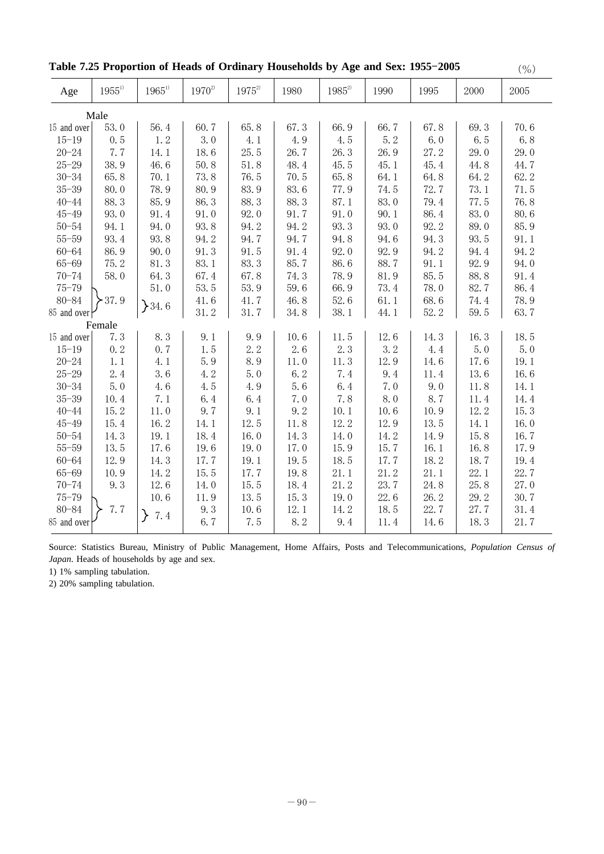| Table 7.25 Proportion of Heads of Ordinary Households by Age and Sex: 1955-2005 | $(\% )$ |
|---------------------------------------------------------------------------------|---------|
|---------------------------------------------------------------------------------|---------|

| $1955^{\scriptscriptstyle 1)}$ | $1965^{\rm D}$                                                                                        | $1970^{2}$                                                                                                                 | $1975^{2}$                                                                                                              | 1980                                                                                                                         | $1985^{\scriptscriptstyle 2)}$                                                                                         | 1990                                                                                                                            | 1995                                                                                                                     | 2000                                                                                                                      | 2005                                                                                                                                |
|--------------------------------|-------------------------------------------------------------------------------------------------------|----------------------------------------------------------------------------------------------------------------------------|-------------------------------------------------------------------------------------------------------------------------|------------------------------------------------------------------------------------------------------------------------------|------------------------------------------------------------------------------------------------------------------------|---------------------------------------------------------------------------------------------------------------------------------|--------------------------------------------------------------------------------------------------------------------------|---------------------------------------------------------------------------------------------------------------------------|-------------------------------------------------------------------------------------------------------------------------------------|
| Male                           |                                                                                                       |                                                                                                                            |                                                                                                                         |                                                                                                                              |                                                                                                                        |                                                                                                                                 |                                                                                                                          |                                                                                                                           |                                                                                                                                     |
| 53.0<br>15 and over            | 56.4                                                                                                  | 60.7                                                                                                                       | 65.8                                                                                                                    | 67.3                                                                                                                         | 66.9                                                                                                                   | 66.7                                                                                                                            | 67.8                                                                                                                     | 69.3                                                                                                                      | 70.6                                                                                                                                |
| 0.5                            | 1.2                                                                                                   | 3.0                                                                                                                        | 4.1                                                                                                                     | 4.9                                                                                                                          | 4.5                                                                                                                    | 5.2                                                                                                                             | 6.0                                                                                                                      | 6.5                                                                                                                       | 6.8                                                                                                                                 |
| 7.7                            | 14.1                                                                                                  | 18.6                                                                                                                       |                                                                                                                         | 26.7                                                                                                                         | 26.3                                                                                                                   | 26.9                                                                                                                            | 27.2                                                                                                                     | 29.0                                                                                                                      | 29.0                                                                                                                                |
| 38.9                           | 46.6                                                                                                  | 50.8                                                                                                                       | 51.8                                                                                                                    | 48.4                                                                                                                         | 45.5                                                                                                                   | 45.1                                                                                                                            | 45.4                                                                                                                     | 44.8                                                                                                                      | 44.7                                                                                                                                |
| 65.8                           | 70.1                                                                                                  | 73.8                                                                                                                       | 76.5                                                                                                                    | 70.5                                                                                                                         | 65.8                                                                                                                   | 64.1                                                                                                                            | 64.8                                                                                                                     | 64.2                                                                                                                      | 62.2                                                                                                                                |
| 80.0                           | 78.9                                                                                                  | 80.9                                                                                                                       | 83.9                                                                                                                    | 83.6                                                                                                                         | 77.9                                                                                                                   | 74.5                                                                                                                            | 72.7                                                                                                                     | 73.1                                                                                                                      | 71.5                                                                                                                                |
| 88.3                           | 85.9                                                                                                  | 86.3                                                                                                                       | 88.3                                                                                                                    | 88.3                                                                                                                         | 87.1                                                                                                                   | 83.0                                                                                                                            | 79.4                                                                                                                     | 77.5                                                                                                                      | 76.8                                                                                                                                |
| 93.0                           | 91.4                                                                                                  | 91.0                                                                                                                       | 92.0                                                                                                                    | 91.7                                                                                                                         | 91.0                                                                                                                   | 90.1                                                                                                                            | 86.4                                                                                                                     | 83.0                                                                                                                      | 80.6                                                                                                                                |
| 94.1                           | 94.0                                                                                                  | 93.8                                                                                                                       | 94.2                                                                                                                    | 94.2                                                                                                                         | 93.3                                                                                                                   | 93.0                                                                                                                            | 92.2                                                                                                                     | 89.0                                                                                                                      | 85.9                                                                                                                                |
| 93.4                           | 93.8                                                                                                  | 94.2                                                                                                                       | 94.7                                                                                                                    | 94.7                                                                                                                         | 94.8                                                                                                                   | 94.6                                                                                                                            | 94.3                                                                                                                     | 93.5                                                                                                                      | 91.1                                                                                                                                |
| 86.9                           | 90.0                                                                                                  | 91.3                                                                                                                       | 91.5                                                                                                                    | 91.4                                                                                                                         | 92.0                                                                                                                   | 92.9                                                                                                                            | 94.2                                                                                                                     | 94.4                                                                                                                      | 94.2                                                                                                                                |
| 75.2                           | 81.3                                                                                                  | 83.1                                                                                                                       | 83.3                                                                                                                    | 85.7                                                                                                                         | 86.6                                                                                                                   | 88.7                                                                                                                            | 91.1                                                                                                                     | 92.9                                                                                                                      | 94.0                                                                                                                                |
| 58.0                           | 64.3                                                                                                  | 67.4                                                                                                                       | 67.8                                                                                                                    | 74.3                                                                                                                         | 78.9                                                                                                                   | 81.9                                                                                                                            | 85.5                                                                                                                     | 88.8                                                                                                                      | 91.4                                                                                                                                |
|                                | 51.0                                                                                                  | 53.5                                                                                                                       | 53.9                                                                                                                    | 59.6                                                                                                                         | 66.9                                                                                                                   | 73.4                                                                                                                            | 78.0                                                                                                                     | 82.7                                                                                                                      | 86.4                                                                                                                                |
| $-37.9$                        |                                                                                                       | 41.6                                                                                                                       | 41.7                                                                                                                    | 46.8                                                                                                                         | 52.6                                                                                                                   | 61.1                                                                                                                            | 68.6                                                                                                                     | 74.4                                                                                                                      | 78.9                                                                                                                                |
| 85 and over                    |                                                                                                       |                                                                                                                            | 31.7                                                                                                                    | 34.8                                                                                                                         |                                                                                                                        | 44.1                                                                                                                            | 52.2                                                                                                                     |                                                                                                                           | 63.7                                                                                                                                |
| Female                         |                                                                                                       |                                                                                                                            |                                                                                                                         |                                                                                                                              |                                                                                                                        |                                                                                                                                 |                                                                                                                          |                                                                                                                           |                                                                                                                                     |
|                                |                                                                                                       |                                                                                                                            |                                                                                                                         |                                                                                                                              |                                                                                                                        |                                                                                                                                 |                                                                                                                          |                                                                                                                           | 18.5                                                                                                                                |
|                                |                                                                                                       |                                                                                                                            |                                                                                                                         |                                                                                                                              |                                                                                                                        |                                                                                                                                 |                                                                                                                          |                                                                                                                           | 5.0                                                                                                                                 |
|                                |                                                                                                       |                                                                                                                            |                                                                                                                         |                                                                                                                              |                                                                                                                        |                                                                                                                                 |                                                                                                                          |                                                                                                                           | 19.1                                                                                                                                |
|                                |                                                                                                       |                                                                                                                            |                                                                                                                         |                                                                                                                              |                                                                                                                        |                                                                                                                                 |                                                                                                                          |                                                                                                                           | 16.6                                                                                                                                |
|                                |                                                                                                       |                                                                                                                            |                                                                                                                         |                                                                                                                              |                                                                                                                        |                                                                                                                                 |                                                                                                                          |                                                                                                                           | 14.1                                                                                                                                |
|                                |                                                                                                       |                                                                                                                            |                                                                                                                         |                                                                                                                              |                                                                                                                        |                                                                                                                                 |                                                                                                                          |                                                                                                                           | 14.4                                                                                                                                |
|                                |                                                                                                       |                                                                                                                            |                                                                                                                         |                                                                                                                              |                                                                                                                        |                                                                                                                                 |                                                                                                                          |                                                                                                                           | 15.3                                                                                                                                |
|                                |                                                                                                       |                                                                                                                            |                                                                                                                         |                                                                                                                              |                                                                                                                        |                                                                                                                                 |                                                                                                                          |                                                                                                                           | 16.0                                                                                                                                |
|                                |                                                                                                       |                                                                                                                            |                                                                                                                         |                                                                                                                              |                                                                                                                        |                                                                                                                                 |                                                                                                                          |                                                                                                                           | 16.7                                                                                                                                |
|                                |                                                                                                       |                                                                                                                            |                                                                                                                         |                                                                                                                              |                                                                                                                        |                                                                                                                                 |                                                                                                                          |                                                                                                                           | 17.9                                                                                                                                |
|                                |                                                                                                       |                                                                                                                            |                                                                                                                         |                                                                                                                              |                                                                                                                        |                                                                                                                                 |                                                                                                                          |                                                                                                                           | 19.4                                                                                                                                |
|                                |                                                                                                       |                                                                                                                            |                                                                                                                         |                                                                                                                              |                                                                                                                        |                                                                                                                                 |                                                                                                                          |                                                                                                                           | 22.7                                                                                                                                |
|                                |                                                                                                       | 14.0                                                                                                                       |                                                                                                                         |                                                                                                                              |                                                                                                                        |                                                                                                                                 |                                                                                                                          |                                                                                                                           | 27.0                                                                                                                                |
|                                |                                                                                                       |                                                                                                                            |                                                                                                                         |                                                                                                                              |                                                                                                                        |                                                                                                                                 |                                                                                                                          |                                                                                                                           | 30.7                                                                                                                                |
|                                |                                                                                                       |                                                                                                                            |                                                                                                                         |                                                                                                                              |                                                                                                                        |                                                                                                                                 |                                                                                                                          |                                                                                                                           | 31.4                                                                                                                                |
|                                |                                                                                                       |                                                                                                                            |                                                                                                                         |                                                                                                                              |                                                                                                                        |                                                                                                                                 |                                                                                                                          |                                                                                                                           | 21.7                                                                                                                                |
| 15 and over                    | 7.3<br>0.2<br>1.1<br>2.4<br>5.0<br>10.4<br>15.2<br>15.4<br>14.3<br>13.5<br>12.9<br>10.9<br>9.3<br>7.7 | 34.6<br>8.3<br>0.7<br>4.1<br>3.6<br>4.6<br>7.1<br>11.0<br>16.2<br>19.1<br>17.6<br>14.3<br>14.2<br>12.6<br>10.6<br>≻<br>7.4 | 31.2<br>9.1<br>1.5<br>5.9<br>4.2<br>4.5<br>6.4<br>9.7<br>14.1<br>18.4<br>19.6<br>17.7<br>15.5<br>11.9<br>9.3<br>$6.7\,$ | 25.5<br>9.9<br>2.2<br>8.9<br>5.0<br>4.9<br>6.4<br>9.1<br>12.5<br>16.0<br>19.0<br>19.1<br>17.7<br>15.5<br>13.5<br>10.6<br>7.5 | 10.6<br>2.6<br>11.0<br>6.2<br>5.6<br>7.0<br>9.2<br>11.8<br>14.3<br>17.0<br>19.5<br>19.8<br>18.4<br>15.3<br>12.1<br>8.2 | 38.1<br>11.5<br>2.3<br>11.3<br>7.4<br>6.4<br>7.8<br>10.1<br>12.2<br>14.0<br>15.9<br>18.5<br>21.1<br>21.2<br>19.0<br>14.2<br>9.4 | 12.6<br>3.2<br>12.9<br>9.4<br>7.0<br>8.0<br>10.6<br>12.9<br>14.2<br>15.7<br>17.7<br>21.2<br>23.7<br>22.6<br>18.5<br>11.4 | 14.3<br>4.4<br>14.6<br>11.4<br>9.0<br>8.7<br>10.9<br>13.5<br>14.9<br>16.1<br>18.2<br>21.1<br>24.8<br>26.2<br>22.7<br>14.6 | 59.5<br>16.3<br>5.0<br>17.6<br>13.6<br>11.8<br>11.4<br>12.2<br>14.1<br>15.8<br>16.8<br>18.7<br>22.1<br>25.8<br>29.2<br>27.7<br>18.3 |

Source: Statistics Bureau, Ministry of Public Management, Home Affairs, Posts and Telecommunications, *Population Census of Japan*. Heads of households by age and sex.

1) 1% sampling tabulation.

2) 20% sampling tabulation.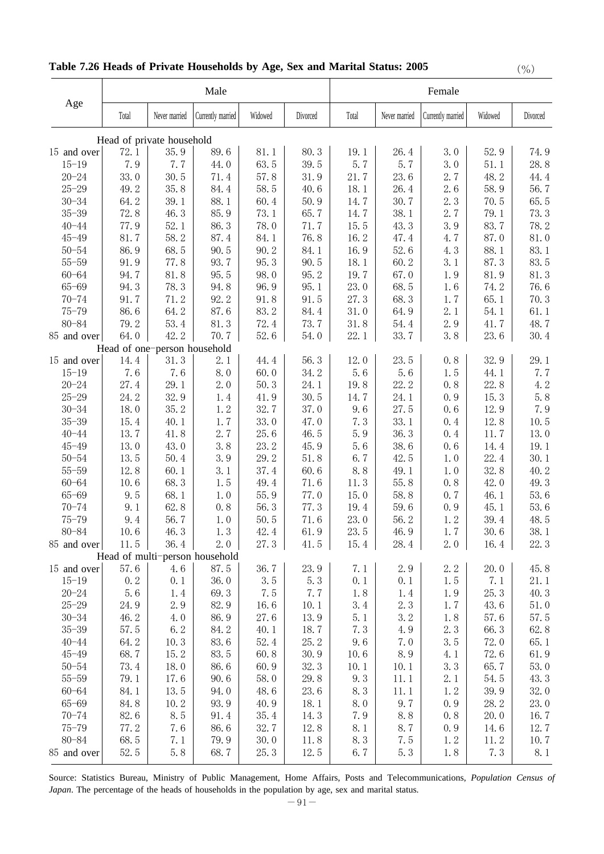|                        |                              |               | Male                           |                |              |             |               | Female            |              |             |
|------------------------|------------------------------|---------------|--------------------------------|----------------|--------------|-------------|---------------|-------------------|--------------|-------------|
| Age                    | Total                        | Never married | Currently married              | Widowed        | Divorced     | Total       | Never married | Currently married | Widowed      | Divorced    |
|                        | Head of private household    |               |                                |                |              |             |               |                   |              |             |
| 15 and over            | 72.1                         | 35.9          | 89.6                           | 81.1           | 80.3         | 19.1        | 26.4          | 3.0               | 52.9         | 74.9        |
| $15 - 19$              | 7.9                          | 7.7           | 44.0                           | 63.5           | 39.5         | 5.7         | 5.7           | 3.0               | 51.1         | 28.8        |
| $20 - 24$              | 33.0                         | 30.5          | 71.4                           | 57.8           | 31.9         | 21.7        | 23.6          | 2.7               | 48.2         | 44.4        |
| $25 - 29$              | 49.2                         | 35.8          | 84.4                           | 58.5           | 40.6         | 18.1        | 26.4          | 2.6               | 58.9         | 56.7        |
| $30 - 34$              | 64.2                         | 39.1          | 88.1                           | 60.4           | 50.9         | 14.7        | 30.7          | 2.3               | 70.5         | 65.5        |
| $35 - 39$              | 72.8                         | 46.3          | 85.9                           | 73.1           | 65.7         | 14.7        | 38.1          | 2.7               | 79.1         | 73.3        |
| $40 - 44$              | 77.9                         | 52.1          | 86.3                           | 78.0           | 71.7         | 15.5        | 43.3          | 3.9               | 83.7         | 78.2        |
| $45 - 49$              | 81.7                         | 58.2          | 87.4                           | 84.1           | 76.8         | 16.2        | 47.4          | 4.7               | 87.0         | 81.0        |
| $50 - 54$              | 86.9                         | 68.5          | 90.5                           | 90.2           | 84.1         | 16.9        | 52.6          | 4.3               | 88.1         | 83.1        |
| $55 - 59$              | 91.9                         | 77.8          | 93.7                           | 95.3           | 90.5         | 18.1        | 60.2          | 3.1               | 87.3         | 83.5        |
| $60 - 64$              | 94.7                         | 81.8          | 95.5                           | 98.0           | 95.2         | 19.7        | 67.0          | 1.9               | 81.9         | 81.3        |
| $65 - 69$              | 94.3                         | 78.3          | 94.8                           | 96.9           | 95.1         | 23.0        | 68.5          | 1.6               | 74.2         | 76.6        |
| $70 - 74$              | 91.7                         | 71.2          | 92.2                           | 91.8           | 91.5         | 27.3        | 68.3          | 1.7               | 65.1         | 70.3        |
| $75 - 79$              | 86.6                         | 64.2          | 87.6                           | 83.2           | 84.4         | 31.0        | 64.9          | 2.1               | 54.1         | 61.1        |
| $80 - 84$              | 79.2                         | 53.4          | 81.3                           | 72.4           | 73.7         | 31.8        | 54.4          | 2.9               | 41.7         | 48.7        |
| 85 and over            | 64.0                         | 42.2          | 70.7                           | 52.6           | 54.0         | 22.1        | 33.7          | 3.8               | 23.6         | 30.4        |
|                        | Head of one-person household |               |                                |                |              |             |               |                   |              |             |
| 15 and over            | 14.4<br>7.6                  | 31.3<br>7.6   | 2.1<br>8.0                     | 44.4<br>60.0   | 56.3<br>34.2 | 12.0<br>5.6 | 23.5<br>5.6   | 0, 8<br>1.5       | 32.9         | 29.1<br>7.7 |
| $15 - 19$<br>$20 - 24$ | 27.4                         | 29.1          | 2.0                            | 50.3           | 24.1         | 19.8        | 22.2          | 0.8               | 44.1<br>22.8 | $4.2\,$     |
| $25 - 29$              | 24.2                         | 32.9          | 1.4                            | 41.9           | 30.5         | 14.7        | 24.1          | 0.9               | 15.3         | 5.8         |
| $30 - 34$              | 18.0                         | 35.2          | 1.2                            | 32.7           | 37.0         | 9.6         | 27.5          | 0, 6              | 12.9         | 7.9         |
| $35 - 39$              | 15.4                         | 40.1          | 1.7                            | 33.0           | 47.0         | 7.3         | 33.1          | 0.4               | 12.8         | 10.5        |
| $40 - 44$              | 13.7                         | 41.8          | 2.7                            | 25.6           | 46.5         | 5.9         | 36.3          | 0.4               | 11.7         | 13.0        |
| $45 - 49$              | 13.0                         | 43.0          | 3.8                            | 23.2           | 45.9         | 5.6         | 38.6          | 0, 6              | 14.4         | 19.1        |
| $50 - 54$              | 13.5                         | 50.4          | 3.9                            | 29.2           | 51.8         | 6.7         | 42.5          | 1.0               | 22.4         | 30.1        |
| $55 - 59$              | 12.8                         | 60.1          | 3.1                            | 37.4           | 60.6         | 8.8         | 49.1          | 1.0               | 32.8         | 40.2        |
| $60 - 64$              | 10.6                         | 68.3          | 1.5                            | 49.4           | 71.6         | 11.3        | 55.8          | 0.8               | 42.0         | 49.3        |
| $65 - 69$              | 9.5                          | 68.1          | 1.0                            | 55.9           | 77.0         | 15.0        | 58.8          | 0.7               | 46.1         | 53.6        |
| $70 - 74$              | 9.1                          | 62.8          | 0.8                            | 56.3           | 77.3         | 19.4        | 59.6          | 0.9               | 45.1         | 53.6        |
| $75 - 79$              | 9.4                          | 56.7          | 1.0                            | 50.5           | 71.6         | 23.0        | 56.2          | 1.2               | 39.4         | 48.5        |
| 80-84                  | 10.6                         | 46.3          | 1.3                            | 42.4           | 61.9         | 23.5        | 46.9          | 1.7               | 30.6         | 38.1        |
| 85 and over            | 11.5                         | 36.4          | 2.0                            | 27.3           | 41.5         | 15.4        | 28.4          | 2.0               | 16.4         | 22.3        |
|                        |                              |               | Head of multi-person household |                |              |             |               |                   |              |             |
| 15 and over            | 57.6                         | 4.6           | 87.5                           | 36.7           | 23.9         | 7.1         | 2.9           | 2.2               | 20.0         | 45.8        |
| $15 - 19$              | 0.2                          | 0.1           | 36.0                           | 3.5            | 5.3          | 0.1         | 0.1           | 1.5               | 7.1          | 21.1        |
| $20 - 24$              | 5.6                          | 1.4           | 69.3                           | 7.5            | 7.7          | 1.8         | 1.4           | 1.9               | 25.3         | 40.3        |
| $25 - 29$              | 24.9                         | 2.9           | 82.9                           | 16.6           | 10.1         | 3.4         | 2.3           | 1.7               | 43.6         | 51.0        |
| $30 - 34$              | 46.2                         | 4.0           | 86.9                           | 27.6           | 13.9         | 5.1         | 3.2           | 1.8               | 57.6         | 57.5        |
| $35 - 39$              | 57.5                         | 6.2           | 84.2                           | 40.1           | 18.7         | 7.3         | 4.9           | 2.3               | 66.3         | 62.8        |
| $40 - 44$              | 64.2                         | 10.3          | 83.6                           | 52.4           | 25.2         | 9.6         | 7.0           | 3.5               | 72.0         | 65.1        |
| $45 - 49$              | 68.7                         | 15.2          | 83.5                           | 60.8           | 30.9         | $10.6$      | 8.9           | 4.1               | 72.6         | 61.9        |
| $50 - 54$              | 73.4                         | 18.0          | 86.6                           | 60.9           | 32.3         | 10.1        | 10.1          | 3.3               | 65.7         | $53.0\,$    |
| $55 - 59$              | 79.1                         | 17.6          | 90.6                           | 58.0           | 29.8         | 9.3         | 11.1          | 2.1               | 54.5         | 43.3        |
| $60 - 64$              | 84.1                         | 13.5          | 94.0                           | 48.6           | 23.6         | 8.3         | 11.1          | 1.2               | 39.9         | 32.0        |
| $65 - 69$              | 84.8                         | 10.2          | 93.9                           | 40.9           | 18.1         | 8.0         | 9.7           | 0.9               | 28.2         | 23.0        |
| $70 - 74$              | 82.6                         | 8.5           | 91.4                           | 35.4           | 14.3         | 7.9         | 8.8           | 0, 8              | 20.0         | 16.7        |
| $75 - 79$<br>$80 - 84$ | 77.2<br>68.5                 | 7.6           | 86.6<br>79.9                   | 32.7           | 12.8         | 8.1         | 8.7<br>7.5    | 0.9               | 14.6         | 12.7        |
| 85 and over            | 52.5                         | 7.1<br>5.8    | 68.7                           | $30.0$<br>25.3 | 11.8<br>12.5 | 8.3<br>6.7  | $5.3\,$       | 1.2               | 11.2<br>7.3  | 10.7<br>8.1 |
|                        |                              |               |                                |                |              |             |               | 1.8               |              |             |

# **Table 7.26 Heads of Private Households by Age, Sex and Marital Status: 2005** (%)

Source: Statistics Bureau, Ministry of Public Management, Home Affairs, Posts and Telecommunications, *Population Census of Japan*. The percentage of the heads of households in the population by age, sex and marital status.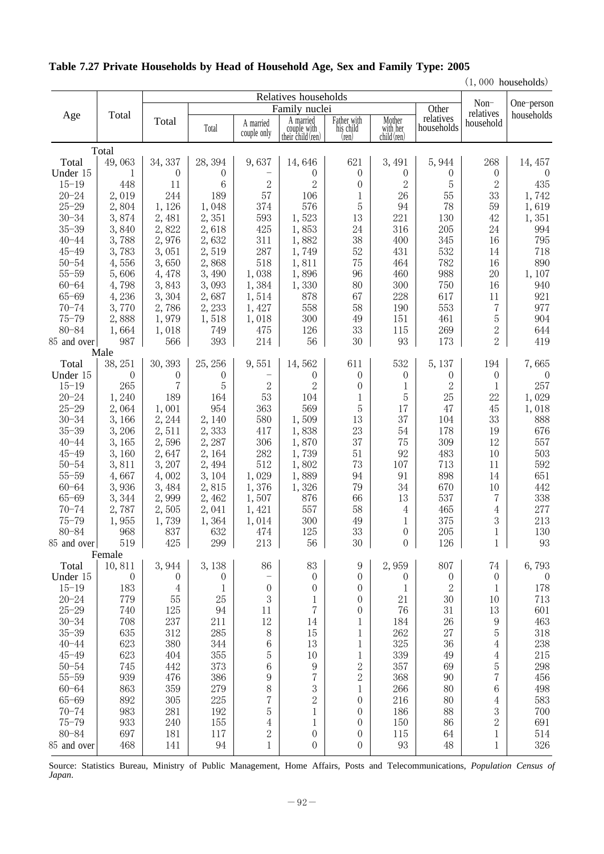|  |  |  | Table 7.27 Private Households by Head of Household Age, Sex and Family Type: 2005 |  |  |  |
|--|--|--|-----------------------------------------------------------------------------------|--|--|--|
|  |  |  |                                                                                   |  |  |  |

 $(1,000$  households)

|                        |                 |                  |                    | $Non-$<br>relatives      | One-person                                    |                                   |                                         |                         |                  |                         |
|------------------------|-----------------|------------------|--------------------|--------------------------|-----------------------------------------------|-----------------------------------|-----------------------------------------|-------------------------|------------------|-------------------------|
| Age                    | Total           | Total            | Total              | A married<br>couple only | A married<br>couple with<br>their child (ren) | Father with<br>his child<br>(ren) | Mother<br>with her child $(\text{ren})$ | relatives<br>households | household        | households              |
|                        | Total           |                  |                    |                          |                                               |                                   |                                         |                         |                  |                         |
| Total                  | 49,063          | 34, 337          | 28, 394            | 9,637                    | 14,646                                        | 621                               | 3,491                                   | 5,944                   | 268              | 14, 457                 |
| Under 15               | 1               | $\overline{0}$   | $\theta$           |                          | $\theta$                                      | $\overline{0}$                    | $\theta$                                | $\theta$                | $\theta$         | $\overline{0}$          |
| $15 - 19$              | 448             | 11               | 6                  | 2                        | 2                                             | $\boldsymbol{0}$                  | $\mathbf{2}$                            | 5                       | $\overline{2}$   | 435                     |
| $20 - 24$              | 2,019           | 244              | 189                | 57                       | 106                                           | 1                                 | 26                                      | 55                      | 33               | 1,742                   |
| $25 - 29$              | 2,804           | 1,126            | 1,048              | 374                      | 576                                           | 5                                 | 94                                      | 78                      | 59               | 1,619                   |
| $30 - 34$              | 3,874           | 2,481            | 2,351              | 593                      | 1,523                                         | 13                                | 221                                     | 130                     | 42               | 1,351                   |
| $35 - 39$              | 3,840           | 2,822            | 2,618              | 425                      | 1,853                                         | 24                                | 316                                     | 205                     | 24               | 994                     |
| $40 - 44$              | 3,788           | 2,976            | 2,632              | 311                      | 1,882                                         | 38                                | 400                                     | 345                     | 16               | 795                     |
| $45 - 49$              | 3,783           | 3,051            | 2,519              | 287                      | 1,749                                         | 52                                | 431                                     | 532                     | 14               | 718                     |
| $50 - 54$              | 4,556           | 3,650            | 2,868              | 518                      | 1,811                                         | 75                                | 464                                     | 782                     | 16               | 890                     |
| $55 - 59$              | 5,606           | 4,478            | 3,490              | 1,038                    | 1,896                                         | 96                                | 460                                     | 988                     | 20               | 1,107                   |
| $60 - 64$              | 4,798           | 3,843            | 3,093              | 1,384                    | 1,330                                         | 80                                | 300                                     | 750                     | 16               | 940                     |
| $65 - 69$              | 4,236           | 3,304            | 2,687              | 1,514                    | 878                                           | 67                                | 228                                     | 617                     | 11               | 921                     |
| $70 - 74$              | 3,770           | 2,786            | 2,233              | 1,427                    | 558                                           | 58                                | 190                                     | 553                     | 7                | 977                     |
| $75 - 79$              | 2,888           | 1,979            | 1,518              | 1,018                    | 300                                           | 49                                | 151                                     | 461                     | 5                | 904                     |
| $80 - 84$              | 1,664           | 1,018            | 749                | 475                      | 126                                           | 33                                | 115                                     | 269                     | $\sqrt{2}$       | 644                     |
| 85 and over            | 987             | 566              | 393                | 214                      | 56                                            | 30                                | 93                                      | 173                     | $\overline{2}$   | 419                     |
|                        | Male            |                  |                    |                          |                                               |                                   |                                         |                         |                  |                         |
| Total                  | 38, 251         | 30, 393          | 25, 256            | 9,551                    | 14,562                                        | 611                               | 532                                     | 5,137                   | 194              | 7,665                   |
| Under 15               | $\theta$<br>265 | $\theta$<br>7    | $\theta$<br>5      |                          | 0<br>$\overline{2}$                           | $\theta$<br>$\theta$              | $\theta$                                | $\theta$                | $\theta$         | $\left( \right)$<br>257 |
| $15 - 19$<br>$20 - 24$ | 1,240           | 189              | 164                | $\overline{2}$<br>53     | 104                                           | $\mathbf{1}$                      | 1<br>$\overline{5}$                     | $\sqrt{2}$<br>25        | 1<br>22          |                         |
| $25 - 29$              | 2,064           | 1,001            | 954                | 363                      | 569                                           | 5                                 | 17                                      | 47                      | 45               | 1,029<br>1,018          |
| $30 - 34$              | 3,166           | 2,244            | 2,140              | 580                      | 1,509                                         | 13                                | 37                                      | 104                     | 33               | 888                     |
| $35 - 39$              | 3,206           | 2,511            | 2,333              | 417                      | 1,838                                         | 23                                | 54                                      | 178                     | 19               | 676                     |
| $40 - 44$              | 3,165           | 2,596            | 2,287              | 306                      | 1,870                                         | 37                                | 75                                      | 309                     | 12               | 557                     |
| $45 - 49$              | 3,160           | 2,647            | 2, 164             | 282                      | 1,739                                         | 51                                | 92                                      | 483                     | 10               | 503                     |
| $50 - 54$              | 3,811           | 3,207            | 2,494              | 512                      | 1,802                                         | 73                                | $107\,$                                 | 713                     | 11               | 592                     |
| $55 - 59$              | 4,667           | 4,002            | 3, 104             | 1,029                    | 1,889                                         | 94                                | 91                                      | 898                     | 14               | 651                     |
| $60 - 64$              | 3,936           | 3,484            | 2,815              | 1,376                    | 1,326                                         | 79                                | 34                                      | 670                     | 10               | 442                     |
| $65 - 69$              | 3,344           | 2,999            | 2,462              | 1,507                    | 876                                           | 66                                | 13                                      | 537                     | 7                | 338                     |
| $70 - 74$              | 2,787           | 2,505            | 2,041              | 1,421                    | 557                                           | 58                                | $\overline{4}$                          | 465                     | 4                | 277                     |
| $75 - 79$              | 1,955           | 1,739            | 1,364              | 1,014                    | $300\,$                                       | 49                                | 1                                       | 375                     | 3                | 213                     |
| $80 - 84$              | 968             | 837              | 632                | 474                      | 125                                           | 33                                | $\boldsymbol{0}$                        | 205                     | 1                | 130                     |
| 85 and over            | 519             | 425              | $299\,$<br>$\perp$ | 213                      | $56\,$                                        | $30\,$                            | $\boldsymbol{0}$                        | 126<br>$\mathbf{I}$     | $\mathbf{1}$     | 93                      |
|                        | Female          |                  |                    |                          |                                               |                                   |                                         |                         |                  |                         |
| Total                  | 10,811          | 3,944            | 3,138              | 86                       | 83                                            | 9                                 | 2,959                                   | 807                     | 74               | 6,793                   |
| Under 15               | 0               | $\boldsymbol{0}$ | $\theta$           | $\qquad \qquad -$        | 0                                             | $\theta$                          | $\theta$                                | $\boldsymbol{0}$        | $\boldsymbol{0}$ | $\overline{0}$          |
| $15 - 19$              | 183             | 4                | $\mathbf{1}$       | $\boldsymbol{0}$         | 0                                             | $\theta$                          | $\mathbf 1$                             | $\overline{2}$          | $\mathbf{1}$     | 178                     |
| $20 - 24$              | 779             | 55               | 25                 | 3                        | 1                                             | $\boldsymbol{0}$                  | 21                                      | 30                      | 10               | 713                     |
| $25 - 29$              | 740             | 125              | 94                 | 11                       | 7                                             | $\boldsymbol{0}$                  | 76                                      | 31                      | 13               | 601                     |
| $30 - 34$<br>$35 - 39$ | 708<br>635      | 237<br>312       | 211<br>285         | 12<br>8                  | 14<br>15                                      | $\,1$                             | 184<br>262                              | 26<br>27                | 9<br>5           | 463<br>318              |
| $40 - 44$              | 623             | 380              | 344                | 6                        | 13                                            | 1<br>1                            | 325                                     | 36                      | $\overline{4}$   | 238                     |
| $45 - 49$              | 623             | 404              | 355                | 5                        | 10                                            | $\mathbf 1$                       | 339                                     | 49                      | $\overline{4}$   | 215                     |
| $50 - 54$              | 745             | 442              | 373                | 6                        | 9                                             | $\overline{c}$                    | 357                                     | 69                      | 5                | 298                     |
| $55 - 59$              | 939             | 476              | 386                | 9                        | $\overline{7}$                                | $\overline{2}$                    | 368                                     | 90                      | $\overline{7}$   | 456                     |
| $60 - 64$              | 863             | 359              | 279                | 8                        | 3                                             | $\mathbf 1$                       | 266                                     | 80                      | $\;6\;$          | 498                     |
| $65 - 69$              | 892             | 305              | 225                | 7                        | $\overline{2}$                                | $\boldsymbol{0}$                  | 216                                     | 80                      | $\overline{4}$   | 583                     |
| $70 - 74$              | 983             | 281              | 192                | 5                        | $\mathbf 1$                                   | $\boldsymbol{0}$                  | 186                                     | 88                      | $\boldsymbol{3}$ | 700                     |
| $75 - 79$              | 933             | 240              | 155                | $\overline{4}$           | 1                                             | $\theta$                          | 150                                     | 86                      | $\overline{2}$   | 691                     |
| $80 - 84$              | 697             | 181              | 117                | $\overline{c}$           | $\boldsymbol{0}$                              | $\boldsymbol{0}$                  | 115                                     | 64                      | $\mathbf 1$      | 514                     |
| 85 and over            | 468             | 141              | 94                 | $\mathbf 1$              | $\overline{0}$                                | 0                                 | 93                                      | 48                      | 1                | 326                     |
|                        |                 |                  |                    |                          |                                               |                                   |                                         |                         |                  |                         |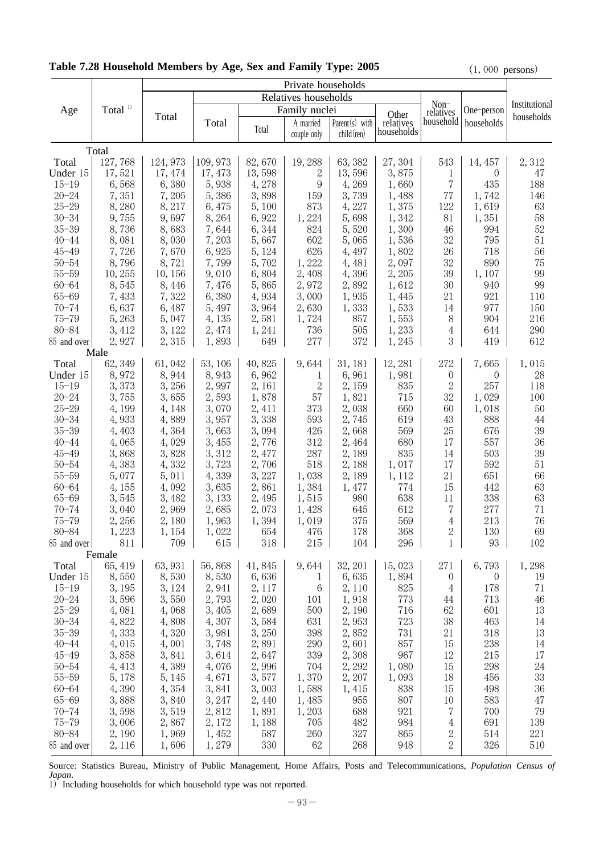|                        |                  | Private households |          |        |                      |                   |                    |                   |                |               |
|------------------------|------------------|--------------------|----------|--------|----------------------|-------------------|--------------------|-------------------|----------------|---------------|
|                        |                  |                    |          |        | Relatives households |                   |                    |                   |                |               |
| Age                    | Total $1)$       |                    |          |        | Family nuclei        |                   |                    | Non-<br>relatives | One-person     | Institutional |
|                        |                  | Total              | Total    |        | A married            | Parent $(s)$ with | Other<br>relatives | household         | households     | households    |
|                        |                  |                    |          | Total  | couple only          | $child$ (ren)     | households         |                   |                |               |
|                        |                  |                    |          |        |                      |                   |                    |                   |                |               |
|                        | Total<br>127,768 | 124, 973           | 109, 973 | 82,670 | 19,288               | 63, 382           |                    | 543               |                |               |
| Total                  | 17,521           |                    |          |        | 2                    |                   | 27,304             |                   | 14, 457        | 2,312<br>47   |
| Under 15               |                  | 17, 474            | 17, 473  | 13,598 | 9                    | 13,596            | 3,875              | 1<br>7            | $\theta$       |               |
| $15 - 19$<br>$20 - 24$ | 6,568            | 6,380              | 5,938    | 4,278  |                      | 4,269             | 1,660              |                   | 435            | 188           |
|                        | 7,351            | 7,205              | 5,386    | 3,898  | 159                  | 3,739             | 1,488              | 77                | 1,742          | 146           |
| $25 - 29$              | 8,280            | 8, 217             | 6,475    | 5,100  | 873                  | 4,227             | 1,375              | 122               | 1,619          | 63            |
| $30 - 34$              | 9,755            | 9,697              | 8,264    | 6,922  | 1,224                | 5,698             | 1,342              | 81                | 1,351          | 58            |
| $35 - 39$              | 8,736            | 8,683              | 7,644    | 6,344  | 824                  | 5,520             | 1,300              | 46                | 994            | 52            |
| $40 - 44$              | 8,081            | 8,030              | 7,203    | 5,667  | 602                  | 5,065             | 1,536              | 32                | 795            | 51            |
| $45 - 49$              | 7,726            | 7,670              | 6,925    | 5, 124 | 626                  | 4, 497            | 1,802              | 26                | 718            | 56            |
| $50 - 54$              | 8,796            | 8,721              | 7,799    | 5,702  | 1,222                | 4,481             | 2,097              | 32                | 890            | 75            |
| $55 - 59$              | 10,255           | 10, 156            | 9,010    | 6,804  | 2,408                | 4,396             | 2, 205             | 39                | 1, 107         | 99            |
| $60 - 64$              | 8,545            | 8, 446             | 7,476    | 5,865  | 2,972                | 2,892             | 1,612              | 30                | 940            | 99            |
| $65 - 69$              | 7,433            | 7,322              | 6,380    | 4,934  | 3,000                | 1,935             | 1,445              | 21                | 921            | 110           |
| $70 - 74$              | 6,637            | 6,487              | 5, 497   | 3,964  | 2,630                | 1,333             | 1,533              | 14                | 977            | 150           |
| $75 - 79$              | 5,263            | 5,047              | 4, 135   | 2,581  | 1,724                | 857               | 1,553              | 8                 | 904            | 216           |
| $80 - 84$              | 3, 412           | 3, 122             | 2, 474   | 1,241  | 736                  | 505               | 1,233              | 4                 | 644            | 290           |
| 85 and over            | 2,927            | 2,315              | 1,893    | 649    | 277                  | 372               | 1,245              | 3                 | 419            | 612           |
|                        | Male             |                    |          |        |                      |                   |                    |                   |                |               |
| Total                  | 62, 349          | 61,042             | 53, 106  | 40,825 | 9,644                | 31, 181           | 12, 281            | 272               | 7,665          | 1,015         |
| Under 15               | 8,972            | 8,944              | 8,943    | 6,962  | 1                    | 6,961             | 1,981              | $\theta$          | $\theta$       | 28            |
| $15 - 19$              | 3,373            | 3,256              | 2,997    | 2, 161 | 2                    | 2, 159            | 835                | $\mathbf{2}$      | 257            | 118           |
| $20 - 24$              | 3,755            | 3,655              | 2,593    | 1,878  | 57                   | 1,821             | 715                | 32                | 1,029          | 100           |
| $25 - 29$              | 4, 199           | 4, 148             | 3,070    | 2,411  | 373                  | 2,038             | 660                | 60                | 1,018          | 50            |
| $30 - 34$              | 4,933            | 4,889              | 3,957    | 3,338  | 593                  | 2,745             | 619                | 43                | 888            | 44            |
| $35 - 39$              | 4,403            | 4,364              | 3,663    | 3,094  | 426                  | 2,668             | 569                | 25                | 676            | 39            |
| $40 - 44$              | 4,065            | 4,029              | 3,455    | 2,776  | 312                  | 2,464             | 680                | 17                | 557            | 36            |
| $45 - 49$              | 3,868            | 3,828              | 3,312    | 2,477  | 287                  | 2,189             | 835                | 14                | 503            | $39\,$        |
| $50 - 54$              | 4,383            | 4,332              | 3,723    | 2,706  | 518                  | 2,188             | 1,017              | 17                | 592            | 51            |
| $55 - 59$              | 5,077            | 5,011              | 4,339    | 3,227  | 1,038                | 2,189             | 1, 112             | 21                | 651            | 66            |
| $60 - 64$              | 4,155            | 4,092              | 3,635    | 2,861  | 1,384                | 1,477             | 774                | 15                | 442            | 63            |
| $65 - 69$              | 3,545            | 3,482              | 3, 133   | 2,495  | 1,515                | 980               | 638                | 11                | 338            | 63            |
| $70 - 74$              | 3,040            | 2,969              | 2,685    | 2,073  | 1,428                | 645               | 612                | 7                 | 277            | 71            |
| $75 - 79$              | 2,256            | 2,180              | 1,963    | 1,394  | 1,019                | 375               | 569                | 4                 | 213            | 76            |
| $80 - 84$              | 1,223            | 1, 154             | 1,022    | 654    | 476                  | 178               | 368                | 2                 | 130            | 69            |
| 85 and over            | 811              | 709                | 615      | 318    | 215                  | 104               | 296                | $\mathbf{1}$      | 93             | 102           |
|                        | Female           |                    |          |        |                      |                   |                    |                   |                |               |
| Total                  | 65, 419          | 63, 931            | 56,868   | 41,845 | 9,644                | 32, 201           | 15,023             | 271               | 6,793          | 1,298         |
| Under 15               | 8,550            | 8,530              | 8,530    | 6,636  | 1                    | 6,635             | 1,894              | $\boldsymbol{0}$  | $\overline{0}$ | 19            |
| $15 - 19$              | 3, 195           | 3, 124             | 2,941    | 2, 117 | 6                    | 2,110             | 825                | 4                 | 178            | 71            |
| $20 - 24$              | 3,596            | 3,550              | 2,793    | 2,020  | 101                  | 1,918             | 773                | 44                | 713            | 46            |
| $25 - 29$              | 4,081            | 4,068              | 3,405    | 2,689  | 500                  | 2,190             | 716                | 62                | 601            | 13            |
| $30 - 34$              | 4,822            | 4,808              | 4,307    | 3,584  | 631                  | 2,953             | 723                | $38\,$            | 463            | 14            |
| $35 - 39$              | 4,333            | 4,320              | 3,981    | 3,250  | 398                  | 2,852             | 731                | 21                | 318            | 13            |
| $40 - 44$              | 4,015            | 4,001              | 3,748    | 2,891  | 290                  | 2,601             | 857                | 15                | 238            | 14            |
| $45 - 49$              | 3,858            | 3,841              | 3,614    | 2,647  | 339                  | 2,308             | 967                | 12                | 215            | 17            |
| $50 - 54$              | 4, 413           | 4,389              | 4,076    | 2,996  | 704                  | 2, 292            | 1,080              | 15                | 298            | 24            |
| $55 - 59$              | 5,178            | 5, 145             | 4,671    | 3,577  | 1,370                | 2,207             | 1,093              | 18                | 456            | 33            |
| $60 - 64$              | 4,390            | 4,354              | 3,841    | 3,003  | 1,588                | 1, 415            | 838                | 15                | 498            | 36            |
| $65 - 69$              | 3,888            | 3,840              | 3, 247   | 2,440  | 1,485                | 955               | 807                | 10                | 583            | 47            |
| $70 - 74$              | 3,598            | 3,519              | 2,812    | 1,891  | 1,203                | 688               | 921                | 7                 | 700            | 79            |
| $75 - 79$              | 3,006            | 2,867              | 2,172    | 1,188  | 705                  | 482               | 984                | 4                 | 691            | 139           |
| $80 - 84$              | 2,190            | 1,969              | 1,452    | 587    | 260                  | 327               | 865                | $\boldsymbol{2}$  | 514            | 221           |
| 85 and over            | 2,116            | 1,606              | 1,279    | 330    | 62                   | 268               | 948                | $\overline{2}$    | 326            | 510           |

# Table 7.28 Household Members by Age, Sex and Family Type: 2005 (1,000 persons)

Source: Statistics Bureau, Ministry of Public Management, Home Affairs, Posts and Telecommunications, *Population Census of Japan*.

1) Including households for which household type was not reported.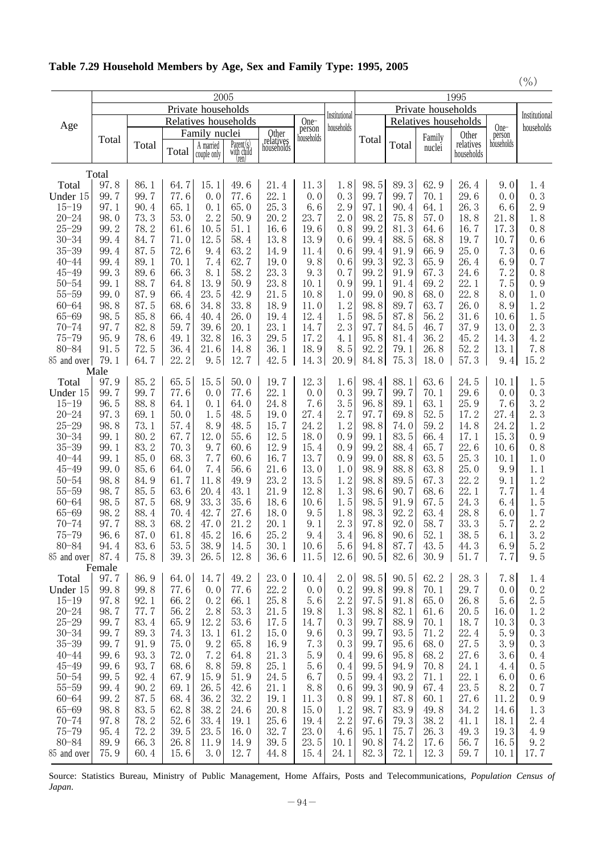| Table 7.29 Household Members by Age, Sex and Family Type: 1995, 2005 |  |  |  |  |  |  |  |  |  |  |
|----------------------------------------------------------------------|--|--|--|--|--|--|--|--|--|--|
|----------------------------------------------------------------------|--|--|--|--|--|--|--|--|--|--|

|                        |                    |              |              |                          |                           |                                  |                             |            |              |                    |                      |                         |              | $($ % $)$     |
|------------------------|--------------------|--------------|--------------|--------------------------|---------------------------|----------------------------------|-----------------------------|------------|--------------|--------------------|----------------------|-------------------------|--------------|---------------|
|                        |                    |              |              | 2005                     |                           |                                  |                             | 1995       |              |                    |                      |                         |              |               |
|                        | Private households |              |              |                          |                           |                                  |                             |            |              | Private households |                      |                         |              | Institutional |
| Age                    |                    |              |              | Relatives households     |                           | One-                             | Institutional<br>households |            |              |                    | Relatives households | One-                    | households   |               |
|                        | Total              |              |              | Family nuclei            |                           | Other<br>relatives<br>households | person<br>households        |            | Total        |                    | Family               | Other                   | person       |               |
|                        |                    | Total        | Total        | A married<br>couple only | $Parent(s)$<br>with child |                                  |                             |            |              | Total              | nuclei               | relatives<br>households | households   |               |
|                        |                    |              |              |                          | (ren)                     |                                  |                             |            |              |                    |                      |                         |              |               |
| Total                  | Total<br>97.8      | 86.1         | 64.7         | 15.1                     | 49.6                      | 21.4                             | 11.3                        | 1.8        | 98.5         | 89.3               | 62.9                 | 26.4                    | 9.0          | 1.4           |
| Under 15               | 99.7               | 99.7         | 77.6         | 0.0                      | 77.6                      | 22.1                             | 0.0                         | 0.3        | 99.7         | 99.7               | 70.1                 | 29.6                    | 0.0          | 0.3           |
| $15 - 19$              | 97.1               | 90.4         | 65.1         | 0.1                      | 65.0                      | 25.3                             | 6.6                         | 2.9        | 97.1         | 90.4               | 64.1                 | 26.3                    | 6.6          | 2.9           |
| $20 - 24$              | 98.0               | 73.3         | 53.0         | 2.2                      | 50.9                      | 20.2                             | 23.7                        | 2.0        | 98.2         | 75.8               | 57.0                 | 18.8                    | 21.8         | 1.8           |
| $25 - 29$              | 99.2               | 78.2         | 61.6         | 10.5                     | 51.1                      | 16.6                             | 19.6                        | 0.8        | 99.2         | 81.3               | 64.6                 | 16.7                    | 17.3         | 0.8           |
| $30 - 34$              | 99.4               | 84.7         | 71.0         | 12.5                     | 58.4                      | 13.8                             | 13.9                        | 0.6        | 99.4         | 88.5               | 68.8                 | 19.7                    | 10.7         | 0.6           |
| $35 - 39$              | 99.4               | 87.5         | 72.6         | 9.4                      | 63.2                      | 14.9                             | 11.4                        | 0.6        | 99.4         | 91.9               | 66.9                 | 25.0                    | 7.3          | 0.6           |
| $40 - 44$              | 99.4               | 89.1         | 70.1         | 7.4                      | 62.7                      | 19.0                             | 9.8                         | 0.6        | 99.3         | 92.3               | 65.9                 | 26.4                    | 6.9          | 0.7           |
| $45 - 49$              | 99.3               | 89.6         | 66.3         | 8.1                      | 58.2                      | 23.3                             | 9.3                         | 0.7        | 99.2         | 91.9               | 67.3                 | 24.6                    | 7.2          | 0.8           |
| $50 - 54$<br>$55 - 59$ | 99.1               | 88.7<br>87.9 | 64.8<br>66.4 | 13.9<br>23.5             | 50.9<br>42.9              | 23.8<br>21.5                     | 10.1<br>10.8                | 0.9<br>1.0 | 99.1<br>99.0 | 91.4<br>90.8       | 69.2<br>68.0         | 22.1<br>22.8            | 7.5<br>8.0   | 0.9<br>1.0    |
| $60 - 64$              | 99.0<br>98.8       | 87.5         | 68.6         | 34.8                     | 33.8                      | 18.9                             | 11.0                        | 1.2        | 98.8         | 89.7               | 63.7                 | 26.0                    | 8.9          | 1.2           |
| $65 - 69$              | 98.5               | 85.8         | 66.4         | 40.4                     | 26.0                      | 19.4                             | 12.4                        | 1.5        | 98.5         | 87.8               | 56.2                 | 31.6                    | 10.6         | 1.5           |
| $70 - 74$              | 97.7               | 82.8         | 59.7         | 39.6                     | 20.1                      | 23.1                             | 14.7                        | 2.3        | 97.7         | 84.5               | 46.7                 | 37.9                    | 13.0         | 2.3           |
| $75 - 79$              | 95.9               | 78.6         | 49.1         | 32.8                     | 16.3                      | 29.5                             | 17.2                        | 4.1        | 95.8         | 81.4               | 36.2                 | 45.2                    | 14.3         | 4.2           |
| $80 - 84$              | 91.5               | 72.5         | 36.4         | 21.6                     | 14.8                      | 36.1                             | 18.9                        | 8.5        | 92.2         | 79.1               | 26.8                 | 52.2                    | 13.1         | 7.8           |
| 85 and over            | 79.1               | 64.<br>7     | 22.2         | 9.5                      | 12.7                      | 42.5                             | $\mathbf{3}$<br>14.         | 20.9       | 84.8         | 75.3               | 18.0                 | 57.<br>3                | 9.4          | 15.2          |
|                        | Male               |              |              |                          |                           |                                  |                             |            |              |                    |                      |                         |              |               |
| Total                  | 97.9               | 85.2         | 65.5         | 15.5                     | 50.0                      | 19.7                             | 12.3                        | 1.6        | 98.4         | 88.1               | 63.6                 | 24.5                    | 10.1         | 1.5           |
| Under 15               | 99.7               | 99.7         | 77.6         | 0.0                      | 77.6                      | 22.1                             | 0.0                         | 0.3        | 99.7         | 99.7               | 70.1                 | 29.6                    | 0.0          | 0.3           |
| $15 - 19$              | 96.5               | 88.8         | 64.1         | 0.1                      | 64.0                      | 24.8                             | 7.6                         | 3.5        | 96.8         | 89.1               | 63.1                 | 25.9                    | 7.6          | 3.2           |
| $20 - 24$              | 97.3               | 69.1         | 50.0         | 5<br>1.                  | 48.5                      | 19.0                             | 27.4                        | 2.7        | 97.7         | 69.8               | 52.5                 | 17.2                    | 27.4         | 2.3           |
| $25 - 29$<br>$30 - 34$ | 98.8               | 73.1<br>80.2 | 57.4<br>67.7 | 8.9<br>12.0              | 48.5<br>55.6              | 15.7<br>12.5                     | 24.2<br>18.0                | 1.2<br>0.9 | 98.8         | 74.0<br>83.5       | 59.2                 | 14.8<br>17.1            | 24.2<br>15.3 | 1.2<br>0.9    |
| $35 - 39$              | 99.1<br>99.1       | 83.2         | 70.3         | 9.7                      | 60.6                      | 12.9                             | 15.4                        | 0.9        | 99.1<br>99.2 | 88.4               | 66.4<br>65.7         | 22.6                    | 10.6         | 0.8           |
| $40 - 44$              | 99.1               | 85.0         | 68.3         | 7.7                      | 60.6                      | 16.7                             | 13.7                        | 0.9        | 99.0         | 88.8               | 63.5                 | 25.3                    | 10.1         | 1.0           |
| $45 - 49$              | 99.0               | 85.6         | 64.0         | 7.4                      | 56.6                      | 21.6                             | 13.0                        | 1.0        | 98.9         | 88.8               | 63.8                 | 25.0                    | 9.9          | 1.1           |
| $50 - 54$              | 98.8               | 84.9         | 61.7         | 11.8                     | 49.9                      | 23.2                             | 13.5                        | 1.2        | 98.8         | 89.5               | 67.3                 | 22.2                    | 9.1          | 1.2           |
| $55 - 59$              | 98.7               | 85.5         | 63.6         | 20.4                     | 43.1                      | 21.9                             | 12.8                        | 1.3        | 98.6         | 90.7               | 68.6                 | 22.1                    | 7.7          | 1.4           |
| $60 - 64$              | 98.5               | 87.5         | 68.9         | 33.3                     | 35.6                      | 18.6                             | 10.6                        | 1.5        | 98.5         | 91.9               | 67.5                 | 24.3                    | 6.4          | 1.5           |
| $65 - 69$              | 98.2               | 88.4         | 70.4         | 42.7                     | 27.6                      | 18.0                             | 9.5                         | 1.8        | 98.3         | 92.2               | 63.4                 | 28.8                    | 6.0          | 1.7           |
| $70 - 74$              | 97.7               | 88.3         | 68.2         | 47.0                     | 21.<br>$\overline{2}$     | 20.1                             | 9.1                         | 2.3        | 97.8         | 92.0               | 58.7                 | 33.3                    | 5.7          | 2.2           |
| $75 - 79$              | 96.6               | 87.0         | 61.8         | 45.2                     | 16.6                      | 25.2                             | 9.4                         | 3.4        | 96.8         | 90.6               | 52.1                 | 38.5                    | 6.1          | 3.2           |
| $80 - 84$              | 94.4               | 83.6         | 53.5         | 38.9                     | 14.5                      | 30.1                             | 10.6                        | 5.6        | 94.8         | 87.7               | 43.5                 | 44.3                    | 6.9          | 5.2           |
| 85 and over            | 87.4               | 75.8         | 39.3         | 26.5                     | 12.8                      | 36.6                             | 11.5                        | 12.6       | 90.5         | 82.6               | 30.9                 | 51.7                    | 7.7          | 9.5           |
| Total                  | Female<br>97.7     | 86.9         | 64.0         | 14.7                     | 49.2                      | 23.0                             | 10.4                        | 2.0        | 98.5         | 90.5               | 62.2                 | 28.3                    | 7.8          | 1.4           |
| Under 15               | 99.8               | 99.8         | 77.6         | 0.0                      | 77.6                      | 22.2                             | 0.0                         | 0.2        | 99.8         | 99.8               | 70.1                 | 29.7                    | 0.0          | 0.2           |
| $15 - 19$              | 97.8               | 92.1         | 66.2         | 0.2                      | 66.1                      | 25.8                             | 5.6                         | 2.2        | 97.5         | 91.8               | 65.0                 | 26.8                    | 5.6          | 2.5           |
| $20 - 24$              | 98.7               | 77.7         | 56.2         | 2.8                      | 53.3                      | 21.5                             | 19.8                        | 1.3        | 98.8         | 82.1               | 61.6                 | 20.5                    | 16.0         | 1.2           |
| $25 - 29$              | 99.7               | 83.4         | 65.9         | 12.2                     | 53.6                      | 17.5                             | 14.7                        | 0.3        | 99.7         | 88.9               | 70.1                 | 18.7                    | 10.3         | 0.3           |
| $30 - 34$              | 99.7               | 89.3         | 74.3         | 13.1                     | 61.2                      | 15.0                             | 9.6                         | 0.3        | 99.7         | 93.5               | 71.2                 | 22.4                    | 5.9          | 0.3           |
| $35 - 39$              | 99.7               | 91.9         | 75.0         | 9.2                      | 65.8                      | 16.9                             | 7.3                         | 0, 3       | 99.7         | 95.6               | 68.0                 | 27.5                    | 3.9          | 0.3           |
| $40 - 44$              | 99.6               | 93.3         | 72.0         | 7.2                      | 64.8                      | 21.3                             | 5.9                         | 0.4        | 99.6         | 95.8               | 68.2                 | 27.6                    | 3.6          | 0.4           |
| $45 - 49$              | 99.6               | 93.7         | 68.6         | 8.8                      | 59.8                      | 25.1                             | 5.6                         | 0.4        | 99.5         | 94.9               | 70.8                 | 24.1                    | 4.4          | 0.5           |
| $50 - 54$              | 99.5               | 92.4         | 67.9         | 15.9                     | 51.9                      | 24.5                             | 6.7                         | 0.5        | 99.4         | 93.2               | 71.1                 | 22.1                    | 6.0          | 0.6           |
| $55 - 59$              | 99.4               | 90.2         | 69.1         | 26.5                     | 42.6                      | 21.1                             | 8.8                         | 0.6        | 99.3         | 90.9               | 67.4                 | 23.5                    | 8.2          | 0.7           |
| $60 - 64$<br>$65 - 69$ | 99.2<br>98.8       | 87.5<br>83.5 | 68.4<br>62.8 | 36.2<br>38.2             | 32.2<br>24.6              | 19.1<br>20.8                     | 11.3<br>15.0                | 0.8<br>1.2 | 99.1<br>98.7 | 87.8<br>83.9       | 60.1<br>49.8         | 27.6<br>34.2            | 11.2<br>14.6 | 0.9<br>1.3    |
| $70 - 74$              | 97.8               | 78.2         | 52.6         | 33.4                     | 19.1                      | 25.6                             | 19.4                        | 2.2        | 97.6         | 79.3               | 38.2                 | 41.1                    | 18.1         | 2.4           |
| $75 - 79$              | 95.4               | 72.2         | 39.5         | 23.5                     | 16.0                      | 32.7                             | 23.0                        | $4.6\,$    | 95.1         | 75.7               | 26.3                 | 49.3                    | 19.3         | 4.9           |
| 80-84                  | 89.9               | 66.3         | 26.8         | 11.9                     | 14.9                      | 39.5                             | 23.5                        | 10.1       | 90.8         | 74.2               | 17.6                 | 56.7                    | 16.5         | 9.2           |
| 85 and over            | 75.9               | 60.4         | 15.6         | 3.0                      | 12.7                      | 44.8                             | 15.4                        | 24.1       | 82.3         | 72.1               | 12.3                 | 59.7                    | 10.1         | 17.7          |
|                        |                    |              |              |                          |                           |                                  |                             |            |              |                    |                      |                         |              |               |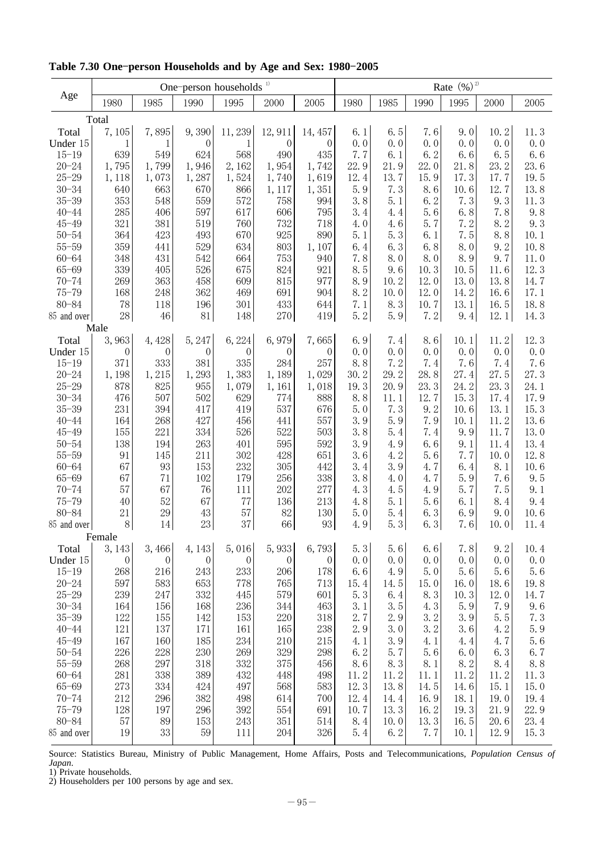|                        |                  |                   | One-person households <sup>1)</sup> |                  |              | Rate $(%)^2$     |             |             |             |            |                 |             |
|------------------------|------------------|-------------------|-------------------------------------|------------------|--------------|------------------|-------------|-------------|-------------|------------|-----------------|-------------|
| Age                    | 1980             | 1985              | 1990                                | 1995             | 2000         | 2005             | 1980        | 1985        | 1990        | 1995       | 2000            | 2005        |
|                        | Total            |                   |                                     |                  |              |                  |             |             |             |            |                 |             |
| Total                  | 7,105            | 7,895             | 9,390                               | 11,239           | 12,911       | 14, 457          | 6.1         | 6.5         | 7.6         | 9.0        | 10.2            | 11.3        |
| Under 15               | 1                | $\mathbf 1$       | $\boldsymbol{0}$                    | 1                | $\mathbf{0}$ | $\boldsymbol{0}$ | 0.0         | 0.0         | 0.0         | 0.0        | 0.0             | 0.0         |
| $15 - 19$              | 639              | 549               | 624                                 | 568              | 490          | 435              | 7.7         | 6.1         | 6.2         | 6.6        | 6.5             | 6.6         |
| $20 - 24$              | 1,795            | 1,799             | 1,946                               | 2,162            | 1,954        | 1,742            | 22.9        | 21.9        | 22.0        | 21.8       | 23.2            | 23.6        |
| $25 - 29$              | 1, 118           | 1,073             | 1,287                               | 1,524            | 1,740        | 1,619            | 12.4        | 13.7        | 15.9        | 17.3       | 17.7            | 19.5        |
| $30 - 34$              | 640              | 663               | 670                                 | 866              | 1, 117       | 1,351            | 5.9         | 7.3         | 8.6         | 10.6       | 12.7            | 13.8        |
| $35 - 39$              | 353              | 548               | 559                                 | 572              | 758          | 994              | 3.8         | 5.1         | 6.2         | 7.3        | 9.3             | 11.3        |
| $40 - 44$              | 285              | 406               | 597                                 | 617              | 606          | 795              | 3.4         | 4.4         | 5.6         | $6.8\,$    | 7.8             | 9.8         |
| $45 - 49$              | 321              | 381               | 519                                 | 760              | 732          | 718              | 4.0         | 4.6         | 5.7         | 7.2        | 8.2             | 9.3         |
| $50 - 54$              | 364              | 423               | 493                                 | 670              | 925          | 890              | 5.1         | 5.3         | 6.1         | 7.5        | 8.8             | 10.1        |
| $55 - 59$              | 359              | 441               | 529                                 | 634              | $803\,$      | 1,107            | 6.4         | 6.3         | 6.8         | 8.0        | 9.2             | 10.8        |
| $60 - 64$              | 348              | 431               | 542                                 | 664              | 753          | 940              | 7.8         | 8.0         | 8.0         | 8.9        | 9.7             | 11.0        |
| $65 - 69$              | 339              | $405\,$           | 526                                 | 675              | 824          | 921              | 8.5         | 9.6         | 10.3        | 10.5       | 11.6            | 12.3        |
| $70 - 74$              | 269              | 363               | 458                                 | 609              | 815          | 977              | 8.9         | 10.2        | 12.0        | 13.0       | 13.8            | 14.7        |
| $75 - 79$              | 168              | 248               | 362                                 | 469              | 691          | 904              | 8.2         | 10.0        | 12.0        | 14.2       | 16.6            | 17.1        |
| $80 - 84$              | 78               | 118               | 196                                 | 301              | 433          | 644              | 7.1         | 8.3         | 10.7        | 13.1       | 16.5            | 18.8        |
| 85 and over            | $28\,$<br>Male   | $\sqrt{46}$       | $81\,$                              | 148              | 270          | 419              | 5.2         | 5.9         | 7.2         | 9.4        | 12.1            | 14.3        |
| Total                  | 3,963            | 4,428             | 5,247                               | 6,224            | 6,979        | 7,665            | 6.9         | 7.4         | 8.6         | 10.1       | 11.2            | 12.3        |
| Under 15               | $\theta$         | $\theta$          | $\boldsymbol{0}$                    | $\theta$         | $\mathbf{0}$ | $\overline{0}$   | 0.0         | 0.0         | 0.0         | 0.0        | 0.0             | 0.0         |
| $15 - 19$              | 371              | 333               | 381                                 | 335              | 284          | 257              | 8.8         | 7.2         | 7.4         | 7.6        | 7.4             | 7.6         |
| $20 - 24$              | 1,198            | 1,215             | 1,293                               | 1,383            | 1,189        | 1,029            | 30.2        | 29.2        | 28.8        | 27.4       | 27.5            | 27.3        |
| $25 - 29$              | 878              | 825               | 955                                 | 1,079            | 1,161        | 1,018            | 19.3        | 20.9        | 23.3        | 24.2       | 23.3            | 24.1        |
| $30 - 34$              | 476              | $507\,$           | 502                                 | 629              | 774          | 888              | 8.8         | 11.1        | 12.7        | 15.3       | 17.4            | 17.9        |
| $35 - 39$              | 231              | 394               | 417                                 | 419              | 537          | 676              | 5.0         | 7.3         | 9.2         | 10.6       | 13.1            | 15.3        |
| $40 - 44$              | 164              | 268               | 427                                 | 456              | 441          | 557              | 3.9         | 5.9         | 7.9         | 10.1       | 11.2            | 13.6        |
| $45 - 49$              | 155              | 221               | 334                                 | 526              | 522          | 503              | 3.8         | 5.4         | 7.4         | 9.9        | 11.7            | 13.0        |
| $50 - 54$              | 138              | 194               | 263                                 | 401              | 595          | 592              | 3.9         | 4.9         | 6.6         | 9.1        | 11.4            | 13.4        |
| $55 - 59$              | 91               | 145               | 211                                 | 302              | 428          | 651              | 3.6         | 4.2         | 5.6         | 7.7        | 10.0            | 12.8        |
| $60 - 64$              | 67               | $\boldsymbol{93}$ | 153                                 | 232              | 305          | 442              | 3.4         | 3.9         | 4.7         | 6.4        | 8.1             | 10.6        |
| $65 - 69$              | 67               | $71\,$            | $102\,$                             | 179              | 256          | 338              | 3.8         | 4.0         | 4.7         | 5.9        | 7.6             | 9.5         |
| $70 - 74$              | 57               | 67                | 76                                  | 111              | 202          | 277              | 4.3         | 4.5         | 4.9         | 5.7        | 7.5             | 9.1         |
| $75 - 79$              | 40               | $52\,$            | 67                                  | $77\,$           | 136          | 213              | 4.8         | 5.1         | 5.6         | 6.1        | 8.4             | 9.4         |
| $80 - 84$              | 21               | $\rm 29$          | 43                                  | 57               | 82           | 130              | 5.0         | 5.4         | 6.3         | 6.9        | 9.0             | 10.6        |
| 85 and over            | $8\,$            | 14                | $23\,$                              | 37               | 66           | 93               | 4.9         | 5.3         | 6.3         | 7.6        | 10.0            | 11.4        |
|                        | Female           |                   |                                     |                  |              |                  |             |             |             |            |                 |             |
| Total                  | 3, 143           | 3,466             | 4, 143                              | 5,016            | 5,933        | 6,793            | 5.3         | 5.6         | 6.6         | 7.8        | 9.2             | 10.4        |
| Under 15               | $\boldsymbol{0}$ | $\boldsymbol{0}$  | $\boldsymbol{0}$                    | $\boldsymbol{0}$ | $\mathbf{0}$ | $\boldsymbol{0}$ | 0.0         | 0.0         | 0.0         | 0.0<br>5.6 | 0.0             | 0.0         |
| $15 - 19$<br>$20 - 24$ | 268<br>597       | 216<br>583        | 243<br>653                          | 233<br>778       | 206<br>765   | 178<br>713       | 6.6<br>15.4 | 4.9<br>14.5 | 5.0<br>15.0 | 16.0       | $5.6\,$<br>18.6 | 5.6<br>19.8 |
| $25 - 29$              | 239              | 247               | 332                                 | 445              | 579          | 601              | 5.3         | 6.4         | 8.3         | 10.3       | 12.0            | 14.7        |
| $30 - 34$              | 164              | 156               | 168                                 | 236              | 344          | 463              | 3.1         | 3.5         | 4.3         | 5.9        | 7.9             | 9.6         |
| $35 - 39$              | 122              | 155               | 142                                 | 153              | 220          | 318              | 2.7         | 2.9         | 3.2         | 3.9        | 5.5             | 7.3         |
| $40 - 44$              | 121              | 137               | 171                                 | 161              | 165          | 238              | 2.9         | 3.0         | 3.2         | 3.6        | 4.2             | 5.9         |
| $45 - 49$              | 167              | 160               | 185                                 | 234              | 210          | 215              | 4.1         | 3.9         | 4.1         | 4.4        | 4.7             | 5.6         |
| $50 - 54$              | 226              | 228               | 230                                 | 269              | 329          | 298              | 6.2         | 5.7         | 5.6         | 6.0        | 6.3             | 6.7         |
| $55 - 59$              | 268              | 297               | 318                                 | 332              | 375          | 456              | 8.6         | 8.3         | 8.1         | 8.2        | 8.4             | 8.8         |
| $60 - 64$              | 281              | 338               | 389                                 | 432              | 448          | 498              | 11.2        | 11.2        | 11.1        | 11.2       | 11.2            | 11.3        |
| $65 - 69$              | 273              | 334               | 424                                 | 497              | 568          | 583              | 12.3        | 13.8        | 14.5        | 14.6       | 15.1            | 15.0        |
| $70 - 74$              | 212              | 296               | 382                                 | 498              | 614          | 700              | 12.4        | 14.4        | 16.9        | 18.1       | 19.0            | 19.4        |
| $75 - 79$              | 128              | 197               | 296                                 | 392              | 554          | 691              | 10.7        | 13.3        | 16.2        | 19.3       | 21.9            | 22.9        |
| $80 - 84$              | $57\,$           | 89                | 153                                 | 243              | 351          | 514              | 8.4         | 10.0        | 13.3        | $16.5\,$   | 20.6            | 23.4        |
| 85 and over            | 19               | 33                | 59                                  | 111              | 204          | 326              | 5.4         | 6.2         | 7.7         | 10.1       | 12.9            | 15.3        |
|                        |                  |                   |                                     |                  |              |                  |             |             |             |            |                 |             |

Table 7.30 One-person Households and by Age and Sex: 1980-2005

Source: Statistics Bureau, Ministry of Public Management, Home Affairs, Posts and Telecommunications, *Population Census of Japan*.

1) Private households.

2) Householders per 100 persons by age and sex.